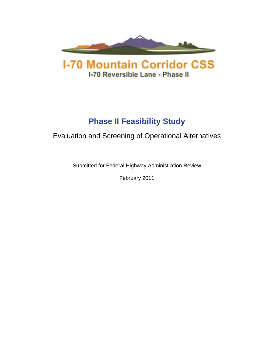



# **Phase II Feasibility Study**

# Evaluation and Screening of Operational Alternatives

Submitted for Federal Highway Administration Review

February 2011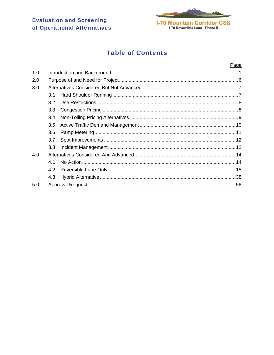

# **Table of Contents**

|                  | Page |
|------------------|------|
|                  |      |
|                  |      |
|                  |      |
| 3.1              |      |
| 3.2              |      |
| 3.3 <sub>2</sub> |      |
| 3.4              |      |
| 3.5              |      |
| 3.6              |      |
| 3.7              |      |
| 3.8              |      |
|                  |      |
| 4.1              |      |
|                  |      |
| 4.3              |      |
|                  |      |
|                  | 4.2  |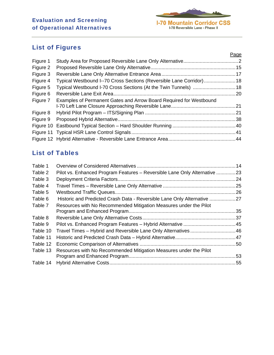

# List of Figures

|          |                                                                      | Page |
|----------|----------------------------------------------------------------------|------|
| Figure 1 |                                                                      |      |
| Figure 2 |                                                                      |      |
| Figure 3 |                                                                      |      |
| Figure 4 | Typical Westbound I--70 Cross Sections (Reversible Lane Corridor) 18 |      |
| Figure 5 | Typical Westbound I-70 Cross Sections (At the Twin Tunnels)  18      |      |
| Figure 6 |                                                                      |      |
| Figure 7 | Examples of Permanent Gates and Arrow Board Required for Westbound   |      |
|          |                                                                      |      |
| Figure 8 |                                                                      |      |
| Figure 9 |                                                                      |      |
|          |                                                                      |      |
|          |                                                                      |      |
|          |                                                                      |      |

# List of Tables

| Table 1  |                                                                           |  |
|----------|---------------------------------------------------------------------------|--|
| Table 2  | Pilot vs. Enhanced Program Features - Reversible Lane Only Alternative 23 |  |
| Table 3  |                                                                           |  |
| Table 4  |                                                                           |  |
| Table 5  |                                                                           |  |
| Table 6  | Historic and Predicted Crash Data - Reversible Lane Only Alternative 27   |  |
| Table 7  | Resources with No Recommended Mitigation Measures under the Pilot         |  |
|          |                                                                           |  |
| Table 8  |                                                                           |  |
| Table 9  |                                                                           |  |
| Table 10 | Travel Times - Hybrid and Reversible Lane Only Alternatives46             |  |
| Table 11 |                                                                           |  |
| Table 12 |                                                                           |  |
| Table 13 | Resources with No Recommended Mitigation Measures under the Pilot         |  |
|          |                                                                           |  |
| Table 14 |                                                                           |  |
|          |                                                                           |  |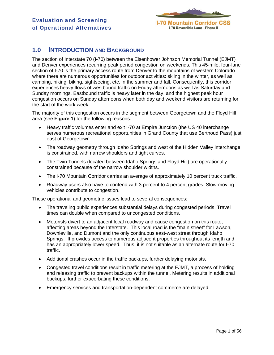

# **1.0 INTRODUCTION AND BACKGROUND**

The section of Interstate 70 (I-70) between the Eisenhower Johnson Memorial Tunnel (EJMT) and Denver experiences recurring peak period congestion on weekends. This 45-mile, four-lane section of I-70 is the primary access route from Denver to the mountains of western Colorado where there are numerous opportunities for outdoor activities: skiing in the winter, as well as camping, hiking, biking, sightseeing, etc. in the summer and fall. Consequently, this corridor experiences heavy flows of westbound traffic on Friday afternoons as well as Saturday and Sunday mornings. Eastbound traffic is heavy later in the day, and the highest peak hour congestion occurs on Sunday afternoons when both day and weekend visitors are returning for the start of the work week.

The majority of this congestion occurs in the segment between Georgetown and the Floyd Hill area (see **Figure 1**) for the following reasons:

- Heavy traffic volumes enter and exit I-70 at Empire Junction (the US 40 interchange serves numerous recreational opportunities in Grand County that use Berthoud Pass) just east of Georgetown.
- The roadway geometry through Idaho Springs and west of the Hidden Valley interchange is constrained, with narrow shoulders and tight curves.
- The Twin Tunnels (located between Idaho Springs and Floyd Hill) are operationally constrained because of the narrow shoulder widths.
- The I-70 Mountain Corridor carries an average of approximately 10 percent truck traffic.
- Roadway users also have to contend with 3 percent to 4 percent grades. Slow-moving vehicles contribute to congestion.

These operational and geometric issues lead to several consequences:

- The traveling public experiences substantial delays during congested periods. Travel times can double when compared to uncongested conditions.
- Motorists divert to an adjacent local roadway and cause congestion on this route, affecting areas beyond the Interstate. This local road is the "main street" for Lawson, Downieville, and Dumont and the only continuous east-west street through Idaho Springs. It provides access to numerous adjacent properties throughout its length and has an appropriately lower speed. Thus, it is not suitable as an alternate route for I-70 traffic.
- Additional crashes occur in the traffic backups, further delaying motorists.
- Congested travel conditions result in traffic metering at the EJMT, a process of holding and releasing traffic to prevent backups within the tunnel. Metering results in additional backups, further exacerbating these conditions.
- Emergency services and transportation-dependent commerce are delayed.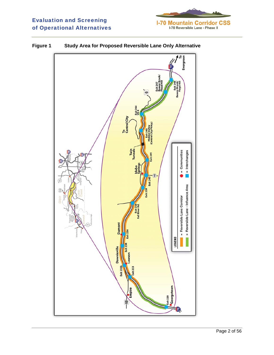



**Figure 1 Study Area for Proposed Reversible Lane Only Alternative**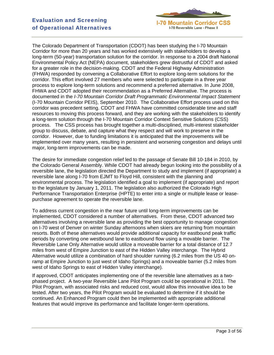

The Colorado Department of Transportation (CDOT) has been studying the I-70 Mountain Corridor for more than 20 years and has worked extensively with stakeholders to develop a long-term (50-year) transportation solution for the corridor. In response to a 2004 draft National Environmental Policy Act (NEPA) document, stakeholders grew distrustful of CDOT and asked for a greater role in the decision-making. CDOT and the Federal Highway Administration (FHWA) responded by convening a Collaborative Effort to explore long-term solutions for the corridor. This effort involved 27 members who were selected to participate in a three year process to explore long-term solutions and recommend a preferred alternative. In June 2008, FHWA and CDOT adopted their recommendation as a Preferred Alternative. The process is documented in the *I-70 Mountain Corridor Draft Programmatic Environmental Impact Statement* (I-70 Mountain Corridor PEIS), September 2010. The Collaborative Effort process used on this corridor was precedent setting. CDOT and FHWA have committed considerable time and staff resources to moving this process forward, and they are working with the stakeholders to identify a long-term solution through the I-70 Mountain Corridor Context Sensitive Solutions (CSS) process. The CSS process has brought together a multi-disciplined, multi-interest stakeholder group to discuss, debate, and capture what they respect and will work to preserve in the corridor. However, due to funding limitations it is anticipated that the improvements will be implemented over many years, resulting in persistent and worsening congestion and delays until major, long-term improvements can be made.

The desire for immediate congestion relief led to the passage of Senate Bill 10-184 in 2010, by the Colorado General Assembly. While CDOT had already begun looking into the possibility of a reversible lane, the legislation directed the Department to study and implement (if appropriate) a reversible lane along I-70 from EJMT to Floyd Hill, consistent with the planning and environmental process. The legislation identified a goal to implement (if appropriate) and report to the legislature by January 1, 2011. The legislation also authorized the Colorado High Performance Transportation Enterprise (HPTE) to enter into a single or multiple lease or leasepurchase agreement to operate the reversible lane.

To address current congestion in the near future until long-term improvements can be implemented, CDOT considered a number of alternatives. From these, CDOT advanced two alternatives involving a reversible lane as providing the best opportunity to manage congestion on I-70 west of Denver on winter Sunday afternoons when skiers are returning from mountain resorts. Both of these alternatives would provide additional capacity for eastbound peak traffic periods by converting one westbound lane to eastbound flow using a movable barrier. The Reversible Lane Only Alternative would utilize a moveable barrier for a total distance of 12.7 miles from west of Empire Junction to east of the Hidden Valley interchange. The Hybrid Alternative would utilize a combination of hard shoulder running (6.2 miles from the US 40 onramp at Empire Junction to just west of Idaho Springs) and a moveable barrier (5.2 miles from west of Idaho Springs to east of Hidden Valley interchange).

If approved, CDOT anticipates implementing one of the reversible lane alternatives as a twophased project. A two-year Reversible Lane Pilot Program could be operational in 2011. The Pilot Program, with associated risks and reduced cost, would allow this innovative idea to be tested. After two years, the Pilot Program would be evaluated to determine if it should be continued. An Enhanced Program could then be implemented with appropriate additional features that would improve its performance and facilitate longer-term operations.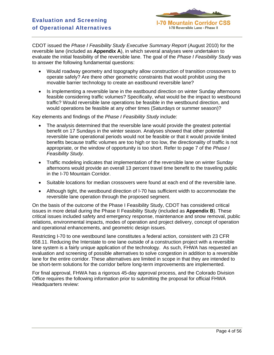

CDOT issued the *Phase I Feasibility Study Executive Summary Report* (August 2010) for the reversible lane (included as **Appendix A**), in which several analyses were undertaken to evaluate the initial feasibility of the reversible lane. The goal of the *Phase I Feasibility Study* was to answer the following fundamental questions:

- Would roadway geometry and topography allow construction of transition crossovers to operate safely? Are there other geometric constraints that would prohibit using the movable barrier technology to create an eastbound reversible lane?
- Is implementing a reversible lane in the eastbound direction on winter Sunday afternoons feasible considering traffic volumes? Specifically, what would be the impact to westbound traffic? Would reversible lane operations be feasible in the westbound direction, and would operations be feasible at any other times (Saturdays or summer season)?

Key elements and findings of the *Phase I Feasibility Study* include:

- The analysis determined that the reversible lane would provide the greatest potential benefit on 17 Sundays in the winter season. Analyses showed that other potential reversible lane operational periods would not be feasible or that it would provide limited benefits because traffic volumes are too high or too low, the directionality of traffic is not appropriate, or the window of opportunity is too short. Refer to page 7 of the *Phase I Feasibility Study*.
- Traffic modeling indicates that implementation of the reversible lane on winter Sunday afternoons would provide an overall 13 percent travel time benefit to the traveling public in the I-70 Mountain Corridor.
- Suitable locations for median crossovers were found at each end of the reversible lane.
- Although tight, the westbound direction of I-70 has sufficient width to accommodate the reversible lane operation through the proposed segment.

On the basis of the outcome of the Phase I Feasibility Study, CDOT has considered critical issues in more detail during the Phase II Feasibility Study (included as **Appendix B**). These critical issues included safety and emergency response, maintenance and snow removal, public relations, environmental impacts, modes of operation and project delivery, concept of operation and operational enhancements, and geometric design issues.

Restricting I-70 to one westbound lane constitutes a federal action, consistent with 23 CFR 658.11. Reducing the Interstate to one lane outside of a construction project with a reversible lane system is a fairly unique application of the technology. As such, FHWA has requested an evaluation and screening of possible alternatives to solve congestion in addition to a reversible lane for the entire corridor. These alternatives are limited in scope in that they are intended to be short-term solutions for the corridor before long-term improvements are implemented.

For final approval, FHWA has a rigorous 45-day approval process, and the Colorado Division Office requires the following information prior to submitting the proposal for official FHWA Headquarters review: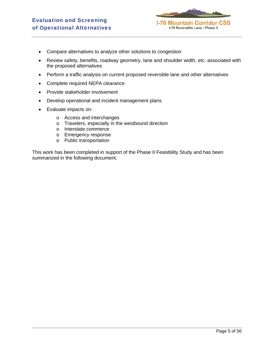

- Compare alternatives to analyze other solutions to congestion
- Review safety, benefits, roadway geometry, lane and shoulder width, etc. associated with the proposed alternatives
- Perform a traffic analysis on current proposed reversible lane and other alternatives
- Complete required NEPA clearance
- Provide stakeholder involvement
- Develop operational and incident management plans
- Evaluate impacts on:
	- o Access and interchanges
	- o Travelers, especially in the westbound direction
	- o Interstate commerce
	- o Emergency response
	- o Public transportation

This work has been completed in support of the Phase II Feasibility Study and has been summarized in the following document.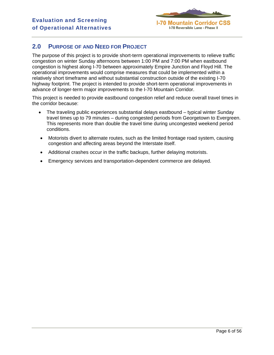

# **2.0 PURPOSE OF AND NEED FOR PROJECT**

The purpose of this project is to provide short-term operational improvements to relieve traffic congestion on winter Sunday afternoons between 1:00 PM and 7:00 PM when eastbound congestion is highest along I-70 between approximately Empire Junction and Floyd Hill. The operational improvements would comprise measures that could be implemented within a relatively short timeframe and without substantial construction outside of the existing I-70 highway footprint. The project is intended to provide short-term operational improvements in advance of longer-term major improvements to the I-70 Mountain Corridor.

This project is needed to provide eastbound congestion relief and reduce overall travel times in the corridor because:

- The traveling public experiences substantial delays eastbound typical winter Sunday travel times up to 79 minutes – during congested periods from Georgetown to Evergreen. This represents more than double the travel time during uncongested weekend period conditions.
- Motorists divert to alternate routes, such as the limited frontage road system, causing congestion and affecting areas beyond the Interstate itself.
- Additional crashes occur in the traffic backups, further delaying motorists.
- Emergency services and transportation-dependent commerce are delayed.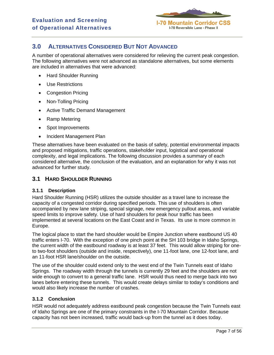

# **3.0 ALTERNATIVES CONSIDERED BUT NOT ADVANCED**

A number of operational alternatives were considered for relieving the current peak congestion. The following alternatives were not advanced as standalone alternatives, but some elements are included in alternatives that were advanced:

- Hard Shoulder Running
- Use Restrictions
- Congestion Pricing
- Non-Tolling Pricing
- Active Traffic Demand Management
- Ramp Metering
- Spot Improvements
- Incident Management Plan

These alternatives have been evaluated on the basis of safety, potential environmental impacts and proposed mitigations, traffic operations, stakeholder input, logistical and operational complexity, and legal implications. The following discussion provides a summary of each considered alternative, the conclusion of the evaluation, and an explanation for why it was not advanced for further study.

# **3.1 HARD SHOULDER RUNNING**

### **3.1.1 Description**

Hard Shoulder Running (HSR) utilizes the outside shoulder as a travel lane to increase the capacity of a congested corridor during specified periods. This use of shoulders is often accompanied by new lane striping, special signage, new emergency pullout areas, and variable speed limits to improve safety. Use of hard shoulders for peak hour traffic has been implemented at several locations on the East Coast and in Texas. Its use is more common in Europe.

The logical place to start the hard shoulder would be Empire Junction where eastbound US 40 traffic enters I-70. With the exception of one pinch point at the SH 103 bridge in Idaho Springs, the current width of the eastbound roadway is at least 37 feet. This would allow striping for oneto two-foot shoulders (outside and inside, respectively), one 11-foot lane, one 12-foot lane, and an 11-foot HSR lane/shoulder on the outside.

The use of the shoulder could extend only to the west end of the Twin Tunnels east of Idaho Springs. The roadway width through the tunnels is currently 29 feet and the shoulders are not wide enough to convert to a general traffic lane. HSR would thus need to merge back into two lanes before entering these tunnels. This would create delays similar to today's conditions and would also likely increase the number of crashes.

### **3.1.2 Conclusion**

HSR would not adequately address eastbound peak congestion because the Twin Tunnels east of Idaho Springs are one of the primary constraints in the I-70 Mountain Corridor. Because capacity has not been increased, traffic would back-up from the tunnel as it does today.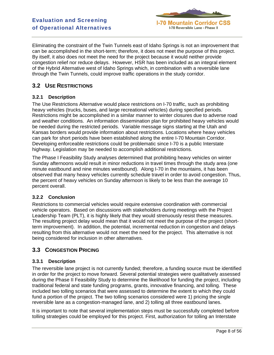

Eliminating the constraint of the Twin Tunnels east of Idaho Springs is not an improvement that can be accomplished in the short-term; therefore, it does not meet the purpose of this project. By itself, it also does not meet the need for the project because it would neither provide congestion relief nor reduce delays. However, HSR has been included as an integral element of the Hybrid Alternative west of Idaho Springs which, in combination with a reversible lane through the Twin Tunnels, could improve traffic operations in the study corridor.

# **3.2 USE RESTRICTIONS**

### **3.2.1 Description**

The Use Restrictions Alternative would place restrictions on I-70 traffic, such as prohibiting heavy vehicles (trucks, buses, and large recreational vehicles) during specified periods. Restrictions might be accomplished in a similar manner to winter closures due to adverse road and weather conditions. An information dissemination plan for prohibited heavy vehicles would be needed during the restricted periods. Variable message signs starting at the Utah and Kansas borders would provide information about restrictions. Locations where heavy vehicles can park for short periods have been established along the entire I-70 Mountain Corridor. Developing enforceable restrictions could be problematic since I-70 is a public Interstate highway. Legislation may be needed to accomplish additional restrictions.

The Phase I Feasibility Study analyses determined that prohibiting heavy vehicles on winter Sunday afternoons would result in minor reductions in travel times through the study area (one minute eastbound and nine minutes westbound). Along I-70 in the mountains, it has been observed that many heavy vehicles currently schedule travel in order to avoid congestion. Thus, the percent of heavy vehicles on Sunday afternoon is likely to be less than the average 10 percent overall.

### **3.2.2 Conclusion**

Restrictions to commercial vehicles would require extensive coordination with commercial vehicle operators. Based on discussions with stakeholders during meetings with the Project Leadership Team (PLT), it is highly likely that they would strenuously resist these measures. The resulting project delay would mean that it would not meet the purpose of the project (shortterm improvement). In addition, the potential, incremental reduction in congestion and delays resulting from this alternative would not meet the need for the project. This alternative is not being considered for inclusion in other alternatives.

# **3.3 CONGESTION PRICING**

# **3.3.1 Description**

The reversible lane project is not currently funded; therefore, a funding source must be identified in order for the project to move forward. Several potential strategies were qualitatively assessed during the Phase II Feasibility Study to determine the likelihood for funding the project, including traditional federal and state funding programs, grants, innovative financing, and tolling. These included two tolling scenarios that were assessed to determine the extent to which they could fund a portion of the project. The two tolling scenarios considered were 1) pricing the single reversible lane as a congestion-managed lane, and 2) tolling all three eastbound lanes.

It is important to note that several implementation steps must be successfully completed before tolling strategies could be employed for this project. First, authorization for tolling an Interstate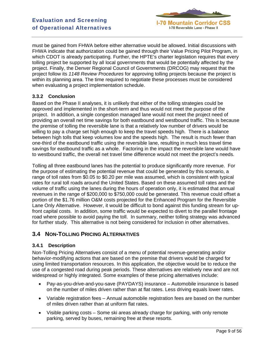

must be gained from FHWA before either alternative would be allowed. Initial discussions with FHWA indicate that authorization could be gained through their Value Pricing Pilot Program, in which CDOT is already participating. Further, the HPTE's charter legislation requires that every tolling project be supported by all local governments that would be potentially affected by the project. Finally, the Denver Regional Council of Governments (DRCOG) may request that the project follow its *1148 Review Procedures* for approving tolling projects because the project is within its planning area. The time required to negotiate these processes must be considered when evaluating a project implementation schedule.

# **3.3.2 Conclusion**

Based on the Phase II analyses, it is unlikely that either of the tolling strategies could be approved and implemented in the short-term and thus would not meet the purpose of the project. In addition, a single congestion managed lane would not meet the project need of providing an overall net time savings for both eastbound and westbound traffic. This is because the premise of tolling the reversible lane is that a relatively low number of drivers would be willing to pay a charge set high enough to keep the travel speeds high. There is a balance between high tolls that keep volumes low and the speeds high. The result is much fewer than one-third of the eastbound traffic using the reversible lane, resulting in much less travel time savings for eastbound traffic as a whole. Factoring in the impact the reversible lane would have to westbound traffic, the overall net travel time difference would not meet the project's needs.

Tolling all three eastbound lanes has the potential to produce significantly more revenue. For the purpose of estimating the potential revenue that could be generated by this scenario, a range of toll rates from \$0.05 to \$0.20 per mile was assumed, which is consistent with typical rates for rural toll roads around the United States. Based on these assumed toll rates and the volume of traffic using the lanes during the hours of operation only, it is estimated that annual revenues in the range of \$200,000 to \$750,000 could be generated. This revenue could offset a portion of the \$1.76 million O&M costs projected for the Enhanced Program for the Reversible Lane Only Alternative. However, it would be difficult to bond against this funding stream for upfront capital costs. In addition, some traffic would be expected to divert to the parallel frontage road where possible to avoid paying the toll. In summary, neither tolling strategy was advanced for further study. This alternative is not being considered for inclusion in other alternatives.

# **3.4 NON-TOLLING PRICING ALTERNATIVES**

### **3.4.1 Description**

Non-Tolling Pricing Alternatives consist of a menu of potential revenue-generating and/or behavior-modifying actions that are based on the premise that drivers would be charged for using limited transportation resources. In this application, the objective would be to reduce the use of a congested road during peak periods. These alternatives are relatively new and are not widespread or highly integrated. Some examples of these pricing alternatives include:

- Pay-as-you-drive-and-you-save (PAYDAYS) insurance Automobile insurance is based on the number of miles driven rather than at flat rates. Less driving equals lower rates.
- Variable registration fees Annual automobile registration fees are based on the number of miles driven rather than at uniform flat rates.
- Visible parking costs Some ski areas already charge for parking, with only remote parking, served by buses, remaining free at these resorts.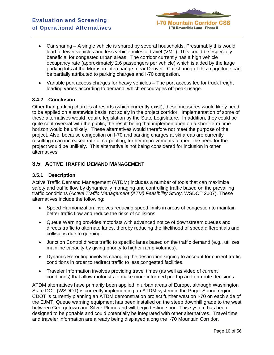

- Car sharing A single vehicle is shared by several households. Presumably this would lead to fewer vehicles and less vehicle miles of travel (VMT). This could be especially beneficial for congested urban areas. The corridor currently has a high vehicle occupancy rate (approximately 2.6 passengers per vehicle) which is aided by the large parking lots at the Morrison interchange, near Denver. Car sharing of this magnitude can be partially attributed to parking charges and I-70 congestion.
- Variable port access charges for heavy vehicles The port access fee for truck freight loading varies according to demand, which encourages off-peak usage.

#### **3.4.2 Conclusion**

Other than parking charges at resorts (which currently exist), these measures would likely need to be applied on a statewide basis, not solely in the project corridor. Implementation of some of these alternatives would require legislation by the State Legislature. In addition, they could be quite controversial with the public, the result being that implementation on a short-term time horizon would be unlikely. These alternatives would therefore not meet the purpose of the project. Also, because congestion on I-70 and parking charges at ski areas are currently resulting in an increased rate of carpooling, further improvements to meet the need for the project would be unlikely. This alternative is not being considered for inclusion in other alternatives.

# **3.5 ACTIVE TRAFFIC DEMAND MANAGEMENT**

#### **3.5.1 Description**

Active Traffic Demand Management (ATDM) includes a number of tools that can maximize safety and traffic flow by dynamically managing and controlling traffic based on the prevailing traffic conditions (*Active Traffic Management (ATM) Feasibility Study*, WSDOT 2007). These alternatives include the following:

- Speed Harmonization involves reducing speed limits in areas of congestion to maintain better traffic flow and reduce the risks of collisions.
- Queue Warning provides motorists with advanced notice of downstream queues and directs traffic to alternate lanes, thereby reducing the likelihood of speed differentials and collisions due to queuing.
- Junction Control directs traffic to specific lanes based on the traffic demand (e.g., utilizes mainline capacity by giving priority to higher ramp volumes).
- Dynamic Rerouting involves changing the destination signing to account for current traffic conditions in order to redirect traffic to less congested facilities.
- Traveler Information involves providing travel times (as well as video of current conditions) that allow motorists to make more informed pre-trip and en-route decisions.

ATDM alternatives have primarily been applied in urban areas of Europe, although Washington State DOT (WSDOT) is currently implementing an ATDM system in the Puget Sound region. CDOT is currently planning an ATDM demonstration project further west on I-70 on each side of the EJMT. Queue warning equipment has been installed on the steep downhill grade to the west between Georgetown and Silver Plume and will begin testing soon. This system has been designed to be portable and could potentially be integrated with other alternatives. Travel time and traveler information are already being displayed along the I-70 Mountain Corridor.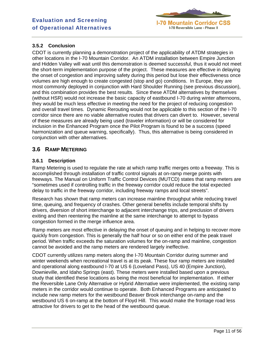

# **3.5.2 Conclusion**

CDOT is currently planning a demonstration project of the applicability of ATDM strategies in other locations in the I-70 Mountain Corridor. An ATDM installation between Empire Junction and Hidden Valley will wait until this demonstration is deemed successful, thus it would not meet the short-term implementation purpose of the project. These measures are effective in delaying the onset of congestion and improving safety during this period but lose their effectiveness once volumes are high enough to create congested (stop and go) conditions. In Europe, they are most commonly deployed in conjunction with Hard Shoulder Running (see previous discussion), and this combination provides the best results. Since these ATDM alternatives by themselves (without HSR) would not increase the basic capacity of eastbound I-70 during winter afternoons, they would be much less effective in meeting the need for the project of reducing congestion and overall travel times. Dynamic Rerouting would not be applicable to this section of the I-70 corridor since there are no viable alternative routes that drivers can divert to. However, several of these measures are already being used (traveler information) or will be considered for inclusion in the Enhanced Program once the Pilot Program is found to be a success (speed harmonization and queue warning, specifically). Thus, this alternative is being considered in conjunction with other alternatives.

# **3.6 RAMP METERING**

### **3.6.1 Description**

Ramp Metering is used to regulate the rate at which ramp traffic merges onto a freeway. This is accomplished through installation of traffic control signals at on-ramp merge points with freeways. The Manual on Uniform Traffic Control Devices (MUTCD) states that ramp meters are "sometimes used if controlling traffic in the freeway corridor could reduce the total expected delay to traffic in the freeway corridor, including freeway ramps and local streets".

Research has shown that ramp meters can increase mainline throughput while reducing travel time, queuing, and frequency of crashes. Other general benefits include temporal shifts by drivers, diversion of short interchange to adjacent interchange trips, and preclusion of drivers exiting and then reentering the mainline at the same interchange to attempt to bypass congestion formed in the merge influence area.

Ramp meters are most effective in delaying the onset of queuing and in helping to recover more quickly from congestion. This is generally the half hour or so on either end of the peak travel period. When traffic exceeds the saturation volumes for the on-ramp and mainline, congestion cannot be avoided and the ramp meters are rendered largely ineffective.

CDOT currently utilizes ramp meters along the I-70 Mountain Corridor during summer and winter weekends when recreational travel is at its peak. These four ramp meters are installed and operational along eastbound I-70 at US 6 (Loveland Pass), US 40 (Empire Junction), Downieville, and Idaho Springs (east). These meters were installed based upon a previous study that identified these locations as being the most beneficial for implementation. If either the Reversible Lane Only Alternative or Hybrid Alternative were implemented, the existing ramp meters in the corridor would continue to operate. Both Enhanced Programs are anticipated to include new ramp meters for the westbound Beaver Brook interchange on-ramp and the westbound US 6 on-ramp at the bottom of Floyd Hill. This would make the frontage road less attractive for drivers to get to the head of the westbound queue.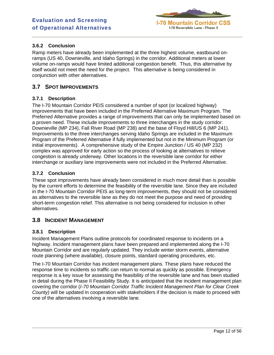

# **3.6.2 Conclusion**

Ramp meters have already been implemented at the three highest volume, eastbound onramps (US 40, Downieville, and Idaho Springs) in the corridor. Additional meters at lower volume on-ramps would have limited additional congestion benefit. Thus, this alternative by itself would not meet the need for the project. This alternative is being considered in conjunction with other alternatives.

# **3.7 SPOT IMPROVEMENTS**

### **3.7.1 Description**

The I-70 Mountain Corridor PEIS considered a number of spot (or localized highway) improvements that have been included in the Preferred Alternative Maximum Program. The Preferred Alternative provides a range of improvements that can only be implemented based on a proven need. These include improvements to three interchanges in the study corridor: Downieville (MP 234), Fall River Road (MP 238) and the base of Floyd Hill/US 6 (MP 241). Improvements to the three interchanges serving Idaho Springs are included in the Maximum Program of the Preferred Alternative if fully implemented but not in the Minimum Program (or initial improvements). A comprehensive study of the Empire Junction / US 40 (MP 232) complex was approved for early action so the process of looking at alternatives to relieve congestion is already underway. Other locations in the reversible lane corridor for either interchange or auxiliary lane improvements were not included in the Preferred Alternative.

### **3.7.2 Conclusion**

These spot improvements have already been considered in much more detail than is possible by the current efforts to determine the feasibility of the reversible lane. Since they are included in the I-70 Mountain Corridor PEIS as long-term improvements, they should not be considered as alternatives to the reversible lane as they do not meet the purpose and need of providing short-term congestion relief. This alternative is not being considered for inclusion in other alternatives.

# **3.8 INCIDENT MANAGEMENT**

### **3.8.1 Description**

Incident Management Plans outline protocols for coordinated response to incidents on a highway. Incident management plans have been prepared and implemented along the I-70 Mountain Corridor and are regularly updated. They include winter storm events, alternative route planning (where available), closure points, standard operating procedures, etc.

The I-70 Mountain Corridor has incident management plans. These plans have reduced the response time to incidents so traffic can return to normal as quickly as possible. Emergency response is a key issue for assessing the feasibility of the reversible lane and has been studied in detail during the Phase II Feasibility Study. It is anticipated that the incident management plan covering the corridor (*I-70 Mountain Corridor Traffic Incident Management Plan for Clear Creek County)* will be updated in cooperation with stakeholders if the decision is made to proceed with one of the alternatives involving a reversible lane.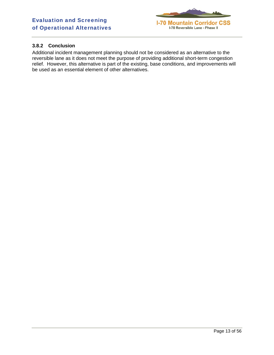

# **3.8.2 Conclusion**

Additional incident management planning should not be considered as an alternative to the reversible lane as it does not meet the purpose of providing additional short-term congestion relief. However, this alternative is part of the existing, base conditions, and improvements will be used as an essential element of other alternatives.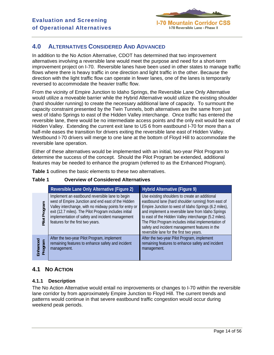

# **4.0 ALTERNATIVES CONSIDERED AND ADVANCED**

In addition to the No Action Alternative, CDOT has determined that two improvement alternatives involving a reversible lane would meet the purpose and need for a short-term improvement project on I-70. Reversible lanes have been used in other states to manage traffic flows where there is heavy traffic in one direction and light traffic in the other. Because the direction with the light traffic flow can operate in fewer lanes, one of the lanes is temporarily reversed to accommodate the heavier traffic flow.

From the vicinity of Empire Junction to Idaho Springs, the Reversible Lane Only Alternative would utilize a moveable barrier while the Hybrid Alternative would utilize the existing shoulder (hard shoulder running) to create the necessary additional lane of capacity. To surmount the capacity constraint presented by the Twin Tunnels, both alternatives are the same from just west of Idaho Springs to east of the Hidden Valley interchange. Once traffic has entered the reversible lane, there would be no intermediate access points and the only exit would be east of Hidden Valley. Extending the current exit lane to US 6 from eastbound I-70 for more than a half-mile eases the transition for drivers exiting the reversible lane east of Hidden Valley. Westbound I-70 drivers will merge to one lane at the bottom of Floyd Hill to accommodate the reversible lane operation.

Either of these alternatives would be implemented with an initial, two-year Pilot Program to determine the success of the concept. Should the Pilot Program be extended, additional features may be needed to enhance the program (referred to as the Enhanced Program).

**Table 1** outlines the basic elements to these two alternatives.

#### **Table 1 Overview of Considered Alternatives**

|                     | Reversible Lane Only Alternative (Figure 2)                                                                                                                                                                                                                                                                       | Hybrid Alternative (Figure 9)                                                                                                                                                                                                                                                                                                                                                                                                       |
|---------------------|-------------------------------------------------------------------------------------------------------------------------------------------------------------------------------------------------------------------------------------------------------------------------------------------------------------------|-------------------------------------------------------------------------------------------------------------------------------------------------------------------------------------------------------------------------------------------------------------------------------------------------------------------------------------------------------------------------------------------------------------------------------------|
| Pilot Program       | Implement an eastbound reversible lane to begin<br>west of Empire Junction and end east of the Hidden<br>Valley interchange, with no midway points for entry or<br>exit (12.7 miles). The Pilot Program includes initial<br>implementation of safety and incident management<br>features for the first two years. | Use existing shoulders to create an additional<br>eastbound lane (hard shoulder running) from east of<br>Empire Junction to west of Idaho Springs (6.2 miles),<br>and implement a reversible lane from Idaho Springs<br>to east of the Hidden Valley interchange (5.2 miles).<br>The Pilot Program includes initial implementation of<br>safety and incident management features in the<br>reversible lane for the first two years. |
| Enhanced<br>Program | After the two-year Pilot Program, implement<br>remaining features to enhance safety and incident<br>management.                                                                                                                                                                                                   | After the two-year Pilot Program, implement<br>remaining features to enhance safety and incident<br>management.                                                                                                                                                                                                                                                                                                                     |

# **4.1 NO ACTION**

### **4.1.1 Description**

The No Action Alternative would entail no improvements or changes to I-70 within the reversible lane corridor by from approximately Empire Junction to Floyd Hill. The current trends and patterns would continue in that severe eastbound traffic congestion would occur during weekend peak periods.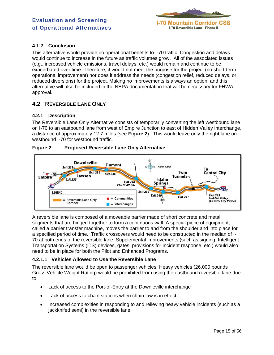

# **4.1.2 Conclusion**

This alternative would provide no operational benefits to I-70 traffic. Congestion and delays would continue to increase in the future as traffic volumes grow. All of the associated issues (e.g., increased vehicle emissions, travel delays, etc.) would remain and continue to be exacerbated over time. Therefore, it would not meet the purpose for the project (no short-term operational improvement) nor does it address the needs (congestion relief, reduced delays, or reduced diversions) for the project. Making no improvements is always an option, and this alternative will also be included in the NEPA documentation that will be necessary for FHWA approval.

# **4.2 REVERSIBLE LANE ONLY**

# **4.2.1 Description**

The Reversible Lane Only Alternative consists of temporarily converting the left westbound lane on I-70 to an eastbound lane from west of Empire Junction to east of Hidden Valley interchange, a distance of approximately 12.7 miles (see **Figure 2**). This would leave only the right lane on westbound I-70 for westbound traffic.

# **Figure 2 Proposed Reversible Lane Only Alternative**



A reversible lane is composed of a moveable barrier made of short concrete and metal segments that are hinged together to form a continuous wall. A special piece of equipment, called a barrier transfer machine, moves the barrier to and from the shoulder and into place for a specified period of time. Traffic crossovers would need to be constructed in the median of I-70 at both ends of the reversible lane. Supplemental improvements (such as signing, Intelligent Transportation Systems (ITS) devices, gates, provisions for incident response, etc.) would also need to be in place for both the Pilot and Enhanced Programs.

### **4.2.1.1 Vehicles Allowed to Use the Reversible Lane**

The reversible lane would be open to passenger vehicles. Heavy vehicles (26,000 pounds Gross Vehicle Weight Rating) would be prohibited from using the eastbound reversible lane due to:

- Lack of access to the Port-of-Entry at the Downieville interchange
- Lack of access to chain stations when chain law is in effect
- Increased complexities in responding to and relieving heavy vehicle incidents (such as a jackknifed semi) in the reversible lane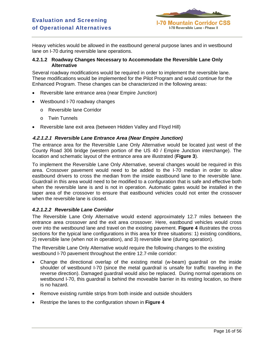

Heavy vehicles would be allowed in the eastbound general purpose lanes and in westbound lane on I-70 during reversible lane operations.

#### **4.2.1.2 Roadway Changes Necessary to Accommodate the Reversible Lane Only Alternative**

Several roadway modifications would be required in order to implement the reversible lane. These modifications would be implemented for the Pilot Program and would continue for the Enhanced Program. These changes can be characterized in the following areas:

- Reversible lane entrance area (near Empire Junction)
- Westbound I-70 roadway changes
	- o Reversible lane Corridor
	- o Twin Tunnels
- Reversible lane exit area (between Hidden Valley and Floyd Hill)

#### **4.2.1.2.1** *Reversible Lane Entrance Area (Near Empire Junction)*

The entrance area for the Reversible Lane Only Alternative would be located just west of the County Road 306 bridge (western portion of the US 40 / Empire Junction interchange). The location and schematic layout of the entrance area are illustrated (**Figure 3**).

To implement the Reversible Lane Only Alternative, several changes would be required in this area. Crossover pavement would need to be added to the I-70 median in order to allow eastbound drivers to cross the median from the inside eastbound lane to the reversible lane. Guardrail in this area would need to be modified to a configuration that is safe and effective both when the reversible lane is and is not in operation. Automatic gates would be installed in the taper area of the crossover to ensure that eastbound vehicles could not enter the crossover when the reversible lane is closed.

### *4.2.1.2.2 Reversible Lane Corridor*

The Reversible Lane Only Alternative would extend approximately 12.7 miles between the entrance area crossover and the exit area crossover. Here, eastbound vehicles would cross over into the westbound lane and travel on the existing pavement. **Figure 4** illustrates the cross sections for the typical lane configurations in this area for three situations: 1) existing conditions, 2) reversible lane (when not in operation), and 3) reversible lane (during operation).

The Reversible Lane Only Alternative would require the following changes to the existing westbound I-70 pavement throughout the entire 12.7-mile corridor:

- Change the directional overlap of the existing metal (w-beam) guardrail on the inside shoulder of westbound I-70 (since the metal guardrail is unsafe for traffic traveling in the reverse direction). Damaged guardrail would also be replaced. During normal operations on westbound I-70, this guardrail is behind the moveable barrier in its resting location, so there is no hazard.
- Remove existing rumble strips from both inside and outside shoulders
- Restripe the lanes to the configuration shown in **Figure 4**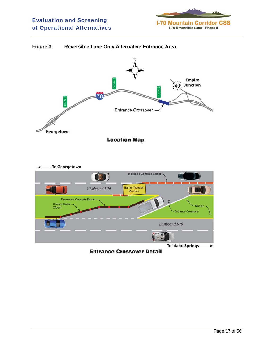

# **Figure 3 Reversible Lane Only Alternative Entrance Area**



**Entrance Crossover Detail**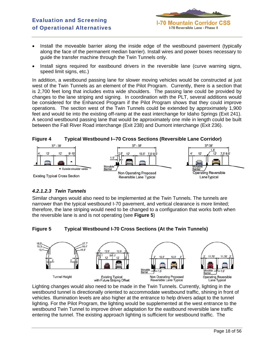

- Install the moveable barrier along the inside edge of the westbound pavement (typically along the face of the permanent median barrier). Install wires and power boxes necessary to guide the transfer machine through the Twin Tunnels only.
- Install signs required for eastbound drivers in the reversible lane (curve warning signs, speed limit signs, etc.)

In addition, a westbound passing lane for slower moving vehicles would be constructed at just west of the Twin Tunnels as an element of the Pilot Program. Currently, there is a section that is 2,700 feet long that includes extra wide shoulders. The passing lane could be provided by changes to the lane striping and signing. In coordination with the PLT, several additions would be considered for the Enhanced Program if the Pilot Program shows that they could improve operations. The section west of the Twin Tunnels could be extended by approximately 1,900 feet and would tie into the existing off-ramp at the east interchange for Idaho Springs (Exit 241). A second westbound passing lane that would be approximately one mile in length could be built between the Fall River Road interchange (Exit 238) and Dumont interchange (Exit 236).



# *4.2.1.2.3 Twin Tunnels*

Similar changes would also need to be implemented at the Twin Tunnels. The tunnels are narrower than the typical westbound I-70 pavement, and vertical clearance is more limited; therefore, the lane striping would need to be changed to a configuration that works both when the reversible lane is and is not operating (see **Figure 5**)

**Figure 5 Typical Westbound I-70 Cross Sections (At the Twin Tunnels)** 



Lighting changes would also need to be made in the Twin Tunnels. Currently, lighting in the westbound tunnel is directionally oriented to accommodate westbound traffic, shining in front of vehicles. Illumination levels are also higher at the entrance to help drivers adapt to the tunnel lighting. For the Pilot Program, the lighting would be supplemented at the west entrance to the westbound Twin Tunnel to improve driver adaptation for the eastbound reversible lane traffic entering the tunnel. The existing approach lighting is sufficient for westbound traffic. The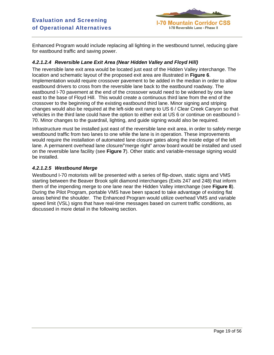

Enhanced Program would include replacing all lighting in the westbound tunnel, reducing glare for eastbound traffic and saving power.

# *4.2.1.2.4 Reversible Lane Exit Area (Near Hidden Valley and Floyd Hill)*

The reversible lane exit area would be located just east of the Hidden Valley interchange. The location and schematic layout of the proposed exit area are illustrated in **Figure 6**. Implementation would require crossover pavement to be added in the median in order to allow eastbound drivers to cross from the reversible lane back to the eastbound roadway. The eastbound I-70 pavement at the end of the crossover would need to be widened by one lane east to the base of Floyd Hill. This would create a continuous third lane from the end of the crossover to the beginning of the existing eastbound third lane. Minor signing and striping changes would also be required at the left-side exit ramp to US 6 / Clear Creek Canyon so that vehicles in the third lane could have the option to either exit at US 6 or continue on eastbound I-70. Minor changes to the guardrail, lighting, and guide signing would also be required.

Infrastructure must be installed just east of the reversible lane exit area, in order to safely merge westbound traffic from two lanes to one while the lane is in operation. These improvements would require the installation of automated lane closure gates along the inside edge of the left lane. A permanent overhead lane closure/"merge right" arrow board would be installed and used on the reversible lane facility (see **Figure 7**). Other static and variable-message signing would be installed.

### *4.2.1.2.5 Westbound Merge*

Westbound I-70 motorists will be presented with a series of flip-down, static signs and VMS starting between the Beaver Brook split diamond interchanges (Exits 247 and 248) that inform them of the impending merge to one lane near the Hidden Valley interchange (see **Figure 8**). During the Pilot Program, portable VMS have been spaced to take advantage of existing flat areas behind the shoulder. The Enhanced Program would utilize overhead VMS and variable speed limit (VSL) signs that have real-time messages based on current traffic conditions, as discussed in more detail in the following section.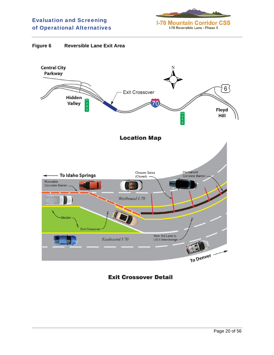



# **Exit Crossover Detail**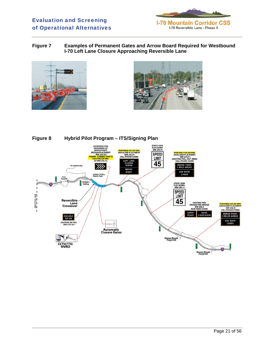

**Figure 7 Examples of Permanent Gates and Arrow Board Required for Westbound I-70 Left Lane Closure Approaching Reversible Lane** 





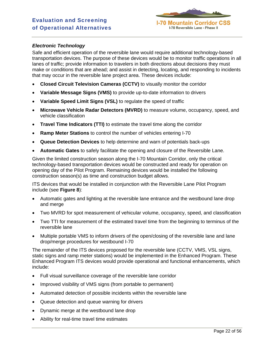

#### *Electronic Technology*

Safe and efficient operation of the reversible lane would require additional technology-based transportation devices. The purpose of these devices would be to monitor traffic operations in all lanes of traffic; provide information to travelers in both directions about decisions they must make or conditions that are ahead; and assist in detecting, locating, and responding to incidents that may occur in the reversible lane project area. These devices include:

- **Closed Circuit Television Cameras (CCTV)** to visually monitor the corridor
- **Variable Message Signs (VMS)** to provide up-to-date information to drivers
- **Variable Speed Limit Signs (VSL)** to regulate the speed of traffic
- **Microwave Vehicle Radar Detectors (MVRD)** to measure volume, occupancy, speed, and vehicle classification
- **Travel Time Indicators (TTI)** to estimate the travel time along the corridor
- **Ramp Meter Stations** to control the number of vehicles entering I-70
- **Queue Detection Devices** to help determine and warn of potentials back-ups
- **Automatic Gates** to safely facilitate the opening and closure of the Reversible Lane.

Given the limited construction season along the I-70 Mountain Corridor, only the critical technology-based transportation devices would be constructed and ready for operation on opening day of the Pilot Program. Remaining devices would be installed the following construction season(s) as time and construction budget allows.

ITS devices that would be installed in conjunction with the Reversible Lane Pilot Program include (see **Figure 8**):

- Automatic gates and lighting at the reversible lane entrance and the westbound lane drop and merge
- Two MVRD for spot measurement of vehicular volume, occupancy, speed, and classification
- Two TTI for measurement of the estimated travel time from the beginning to terminus of the reversible lane
- Multiple portable VMS to inform drivers of the open/closing of the reversible lane and lane drop/merge procedures for westbound I-70

The remainder of the ITS devices proposed for the reversible lane (CCTV, VMS, VSL signs, static signs and ramp meter stations) would be implemented in the Enhanced Program. These Enhanced Program ITS devices would provide operational and functional enhancements, which include:

- Full visual surveillance coverage of the reversible lane corridor
- Improved visibility of VMS signs (from portable to permanent)
- Automated detection of possible incidents within the reversible lane
- Queue detection and queue warning for drivers
- Dynamic merge at the westbound lane drop
- Ability for real-time travel time estimates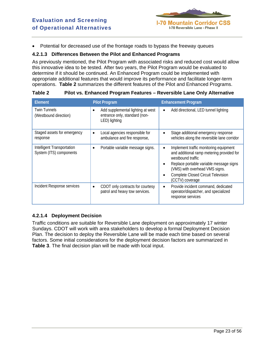

• Potential for decreased use of the frontage roads to bypass the freeway queues

#### **4.2.1.3 Differences Between the Pilot and Enhanced Programs**

As previously mentioned, the Pilot Program with associated risks and reduced cost would allow this innovative idea to be tested. After two years, the Pilot Program would be evaluated to determine if it should be continued. An Enhanced Program could be implemented with appropriate additional features that would improve its performance and facilitate longer-term operations. **Table 2** summarizes the different features of the Pilot and Enhanced Programs.

| Element                                               | <b>Pilot Program</b>                                                                | <b>Enhancement Program</b>                                                                                             |
|-------------------------------------------------------|-------------------------------------------------------------------------------------|------------------------------------------------------------------------------------------------------------------------|
| <b>Twin Tunnels</b><br>(Westbound direction)          | Add supplemental lighting at west<br>entrance only, standard (non-<br>LED) lighting | Add directional, LED tunnel lighting<br>$\bullet$                                                                      |
| Staged assets for emergency<br>response               | Local agencies responsible for<br>$\bullet$<br>ambulance and fire response,         | Stage additional emergency response<br>$\bullet$<br>vehicles along the reversible lane corridor                        |
| Intelligent Transportation<br>System (ITS) components | Portable variable message signs.<br>$\bullet$                                       | Implement traffic monitoring equipment<br>$\bullet$<br>and additional ramp metering provided for<br>westbound traffic. |
|                                                       |                                                                                     | Replace portable variable message signs<br>$\bullet$<br>(VMS) with overhead VMS signs.                                 |
|                                                       |                                                                                     | <b>Complete Closed Circuit Television</b><br>$\bullet$<br>(CCTV) coverage                                              |
| Incident Response services                            | CDOT only contracts for courtesy<br>$\bullet$<br>patrol and heavy tow services.     | Provide incident command, dedicated<br>$\bullet$<br>operator/dispatcher, and specialized<br>response services          |

#### **Table 2 Pilot vs. Enhanced Program Features – Reversible Lane Only Alternative**

### **4.2.1.4 Deployment Decision**

Traffic conditions are suitable for Reversible Lane deployment on approximately 17 winter Sundays. CDOT will work with area stakeholders to develop a formal Deployment Decision Plan. The decision to deploy the Reversible Lane will be made each time based on several factors. Some initial considerations for the deployment decision factors are summarized in **Table 3**. The final decision plan will be made with local input.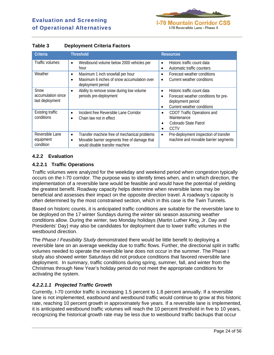

| <b>Criteria</b>                               | <b>Threshold</b>                                                                                                                                         | <b>Resources</b>                                                                                                                                 |
|-----------------------------------------------|----------------------------------------------------------------------------------------------------------------------------------------------------------|--------------------------------------------------------------------------------------------------------------------------------------------------|
| Traffic volumes                               | Westbound volume below 2000 vehicles per<br>$\bullet$<br>hour                                                                                            | Historic traffic count data<br>$\bullet$<br>Automatic traffic counters<br>$\bullet$                                                              |
| Weather                                       | Maximum 1 inch snowfall per hour<br>$\bullet$<br>Maximum 6 inches of snow accumulation over<br>٠<br>deployment period                                    | Forecast weather conditions<br>$\bullet$<br>Current weather conditions                                                                           |
| Snow<br>accumulation since<br>last deployment | Ability to remove snow during low volume<br>$\bullet$<br>periods pre-deployment                                                                          | Historic traffic count data<br>$\bullet$<br>Forecast weather conditions for pre-<br>deployment period<br>Current weather conditions<br>$\bullet$ |
| Existing traffic<br>conditions                | Incident free Reversible Lane Corridor<br>$\bullet$<br>Chain law not in effect<br>$\bullet$                                                              | CDOT Traffic Operations and<br>$\bullet$<br>Maintenance<br>Colorado State Patrol<br>$\bullet$<br>CCTV<br>$\bullet$                               |
| Reversible Lane<br>equipment<br>condition     | Transfer machine free of mechanical problems<br>$\bullet$<br>Movable barrier segments free of damage that<br>$\bullet$<br>would disable transfer machine | Pre-deployment inspection of transfer<br>$\bullet$<br>machine and movable barrier segments                                                       |

# **Table 3 Deployment Criteria Factors**

# **4.2.2 Evaluation**

# **4.2.2.1 Traffic Operations**

Traffic volumes were analyzed for the weekday and weekend period when congestion typically occurs on the I-70 corridor. The purpose was to identify times when, and in which direction, the implementation of a reversible lane would be feasible and would have the potential of yielding the greatest benefit. Roadway capacity helps determine when reversible lanes may be beneficial and assesses their impact on the opposite direction travel. A roadway's capacity is often determined by the most constrained section, which in this case is the Twin Tunnels.

Based on historic counts, it is anticipated traffic conditions are suitable for the reversible lane to be deployed on the 17 winter Sundays during the winter ski season assuming weather conditions allow. During the winter, two Monday holidays (Martin Luther King, Jr. Day and Presidents' Day) may also be candidates for deployment due to lower traffic volumes in the westbound direction.

The *Phase I Feasibility Study* demonstrated there would be little benefit to deploying a reversible lane on an average weekday due to traffic flows. Further, the directional split in traffic volumes needed to operate the reversible lane does not occur in the summer. The Phase I study also showed winter Saturdays did not produce conditions that favored reversible lane deployment. In summary, traffic conditions during spring, summer, fall, and winter from the Christmas through New Year's holiday period do not meet the appropriate conditions for activating the system.

### *4.2.2.1.1 Projected Traffic Growth*

Currently, I-70 corridor traffic is increasing 1.5 percent to 1.8 percent annually. If a reversible lane is not implemented, eastbound and westbound traffic would continue to grow at this historic rate, reaching 10 percent growth in approximately five years. If a reversible lane is implemented, it is anticipated westbound traffic volumes will reach the 10 percent threshold in five to 10 years, recognizing the historical growth rate may be less due to westbound traffic backups that occur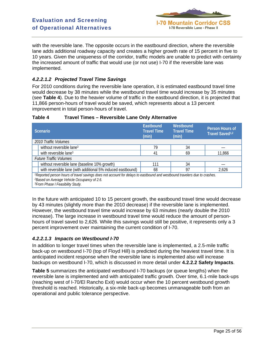

with the reversible lane. The opposite occurs in the eastbound direction, where the reversible lane adds additional roadway capacity and creates a higher growth rate of 15 percent in five to 10 years. Given the uniqueness of the corridor, traffic models are unable to predict with certainty the increased amount of traffic that would use (or not use) I-70 if the reversible lane was implemented.

# *4.2.2.1.2 Projected Travel Time Savings*

For 2010 conditions during the reversible lane operation, it is estimated eastbound travel time would decrease by 38 minutes while the westbound travel time would increase by 35 minutes (see **Table 4**). Due to the heavier volume of traffic in the eastbound direction, it is projected that 11,866 person-hours of travel would be saved, which represents about a 13 percent improvement in total person-hours of travel.

| <b>Scenario</b>                                                                                                                                                                                                                       | Eastbound<br><b>Travel Time</b><br>(min) | Westbound<br><b>Travel Time</b><br>(min) | Person Hours of<br>Travel Saved <sup>1,2</sup> |  |
|---------------------------------------------------------------------------------------------------------------------------------------------------------------------------------------------------------------------------------------|------------------------------------------|------------------------------------------|------------------------------------------------|--|
| 2010 Traffic Volumes                                                                                                                                                                                                                  |                                          |                                          |                                                |  |
| without reversible lane <sup>3</sup>                                                                                                                                                                                                  | 79                                       | 34                                       |                                                |  |
| with reversible lane <sup>3</sup>                                                                                                                                                                                                     | 41                                       | 69                                       | 11,866                                         |  |
| <b>Future Traffic Volumes</b>                                                                                                                                                                                                         |                                          |                                          |                                                |  |
| without reversible lane (baseline 10% growth)                                                                                                                                                                                         | 111                                      | 34                                       |                                                |  |
| with reversible lane (with additional 5% induced eastbound)                                                                                                                                                                           | 68                                       | 97                                       | 2,626                                          |  |
| 1 Reported person hours of travel savings does not account for delays to eastbound and westbound travelers due to crashes.<br><sup>2</sup> Based on Average Vehicle Occupancy of 2.6.<br><sup>3</sup> From Phase I Feasibility Study. |                                          |                                          |                                                |  |

### **Table 4 Travel Times – Reversible Lane Only Alternative**

In the future with anticipated 10 to 15 percent growth, the eastbound travel time would decrease by 43 minutes (slightly more than the 2010 decrease) if the reversible lane is implemented. However, the westbound travel time would increase by 63 minutes (nearly double the 2010 increase). The large increase in westbound travel time would reduce the amount of personhours of travel saved to 2,626. While this savings would still be positive, it represents only a 3 percent improvement over maintaining the current condition of I-70.

### *4.2.2.1.3 Impacts on Westbound I-70*

In addition to longer travel times when the reversible lane is implemented, a 2.5-mile traffic back-up on westbound I-70 (top of Floyd Hill) is predicted during the heaviest travel time. It is anticipated incident response when the reversible lane is implemented also will increase backups on westbound I-70, which is discussed in more detail under **4.2.2.2 Safety Impacts**.

**Table 5** summarizes the anticipated westbound I-70 backups (or queue lengths) when the reversible lane is implemented and with anticipated traffic growth. Over time, 6.1-mile back-ups (reaching west of I-70/El Rancho Exit) would occur when the 10 percent westbound growth threshold is reached. Historically, a six-mile back-up becomes unmanageable both from an operational and public tolerance perspective.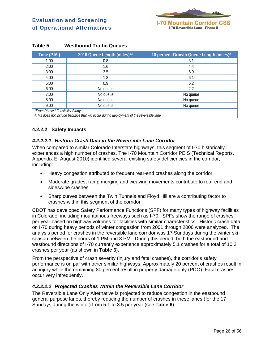

| Time (P.M.)                                  | 2010 Queue Length (miles) <sup>1,2</sup> | 10 percent Growth Queue Length (miles) <sup>2</sup> |
|----------------------------------------------|------------------------------------------|-----------------------------------------------------|
| 1:00                                         | 0.8                                      | 3.1                                                 |
| 2:00                                         | 1.6                                      | 4.4                                                 |
| 3:00                                         | 2.5                                      | 5.9                                                 |
| 4:00                                         | 1.8                                      | 6.1                                                 |
| 5:00                                         | 0.9                                      | 5.2                                                 |
| 6:00                                         | No queue                                 | 2.2                                                 |
| 7:00                                         | No queue                                 | No queue                                            |
| 8:00                                         | No queue                                 | No queue                                            |
| 9:00                                         | No queue                                 | No queue                                            |
| <sup>1</sup> From Phase I Feasibility Study. |                                          |                                                     |

#### **Table 5 Westbound Traffic Queues**

*2This does not include backups that will occur during deployment of the reversible lane.*

# **4.2.2.2 Safety Impacts**

#### *4.2.2.2.1 Historic Crash Data in the Reversible Lane Corridor*

When compared to similar Colorado Interstate highways, this segment of I-70 historically experiences a high number of crashes. The I-70 Mountain Corridor PEIS (Technical Reports, Appendix E, August 2010) identified several existing safety deficiencies in the corridor, including:

- Heavy congestion attributed to frequent rear-end crashes along the corridor
- Moderate grades, ramp merging and weaving movements contribute to rear end and sideswipe crashes
- Sharp curves between the Twin Tunnels and Floyd Hill are a contributing factor to crashes within this segment of the corridor

CDOT has developed Safety Performance Functions (SPF) for many types of highway facilities in Colorado, including mountainous freeways such as I-70. SPFs show the range of crashes per year based on highway volumes for facilities with similar characteristics. Historic crash data on I-70 during heavy periods of winter congestion from 2001 through 2006 were analyzed. The analysis period for crashes in the reversible lane corridor was 17 Sundays during the winter ski season between the hours of 1 PM and 8 PM. During this period, both the eastbound and westbound directions of I-70 currently experience approximately 5.1 crashes for a total of 10.2 crashes per year (as shown in **Table 6**).

From the perspective of crash severity (injury and fatal crashes), the corridor's safety performance is on par with other similar highways. Approximately 20 percent of crashes result in an injury while the remaining 80 percent result in property damage only (PDO). Fatal crashes occur very infrequently.

### *4.2.2.2.2 Projected Crashes Within the Reversible Lane Corridor*

The Reversible Lane Only Alternative is projected to reduce congestion in the eastbound general purpose lanes, thereby reducing the number of crashes in these lanes (for the 17 Sundays during the winter) from 5.1 to 3.5 per year (see **Table 6**).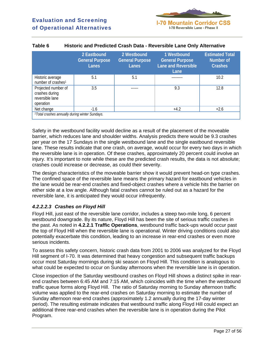

|                                                                       | 2 Eastbound<br><b>General Purpose</b><br>Lanes | 2 Westbound<br><b>General Purpose</b><br><b>Lanes</b> | 1 Westbound<br><b>General Purpose</b><br><b>Lane and Reversible</b><br>Lane | <b>Estimated Total</b><br>Number of<br><b>Crashes</b> |  |  |
|-----------------------------------------------------------------------|------------------------------------------------|-------------------------------------------------------|-----------------------------------------------------------------------------|-------------------------------------------------------|--|--|
| Historic average<br>number of crashes <sup>1</sup>                    | 5.1                                            | 5.1                                                   |                                                                             | 10.2                                                  |  |  |
| Projected number of<br>crashes during<br>reversible lane<br>operation | 3.5                                            |                                                       | 9.3                                                                         | 12.8                                                  |  |  |
| Net change                                                            | $-1.6$                                         |                                                       | $+4.2$                                                                      | $+2.6$                                                |  |  |
| <sup>1</sup> Total crashes annually during winter Sundays.            |                                                |                                                       |                                                                             |                                                       |  |  |

#### **Table 6 Historic and Predicted Crash Data - Reversible Lane Only Alternative**

Safety in the westbound facility would decline as a result of the placement of the moveable barrier, which reduces lane and shoulder widths. Analysis predicts there would be 9.3 crashes per year on the 17 Sundays in the single westbound lane and the single eastbound reversible lane. These results indicate that one crash, on average, would occur for every two days in which the reversible lane is in operation. Of these crashes, approximately 20 percent could involve an injury. It's important to note while these are the predicted crash results, the data is not absolute; crashes could increase or decrease, as could their severity.

The design characteristics of the moveable barrier show it would prevent head-on type crashes. The confined space of the reversible lane means the primary hazard for eastbound vehicles in the lane would be rear-end crashes and fixed-object crashes where a vehicle hits the barrier on either side at a low angle. Although fatal crashes cannot be ruled out as a hazard for the reversible lane, it is anticipated they would occur infrequently.

### *4.2.2.2.3 Crashes on Floyd Hill*

Floyd Hill, just east of the reversible lane corridor, includes a steep two-mile long, 6 percent westbound downgrade. By its nature, Floyd Hill has been the site of serious traffic crashes in the past. As noted in **4.2.2.1 Traffic Operations**, westbound traffic back-ups would occur past the top of Floyd Hill when the reversible lane is operational. Winter driving conditions could also potentially exacerbate this condition, leading to an increase in rear-end crashes or even more serious incidents.

To assess this safety concern, historic crash data from 2001 to 2006 was analyzed for the Floyd Hill segment of I-70. It was determined that heavy congestion and subsequent traffic backups occur most Saturday mornings during ski season on Floyd Hill. This condition is analogous to what could be expected to occur on Sunday afternoons when the reversible lane is in operation.

Close inspection of the Saturday westbound crashes on Floyd Hill shows a distinct spike in rearend crashes between 6:45 AM and 7:15 AM, which coincides with the time when the westbound traffic queue forms along Floyd Hill. The ratio of Saturday morning to Sunday afternoon traffic volume was applied to the rear-end crashes on Saturday morning to estimate the number of Sunday afternoon rear-end crashes (approximately 1.2 annually during the 17-day winter period). The resulting estimate indicates that westbound traffic along Floyd Hill could expect an additional three rear-end crashes when the reversible lane is in operation during the Pilot Program.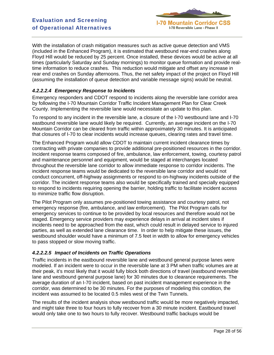

With the installation of crash mitigation measures such as active queue detection and VMS (included in the Enhanced Program), it is estimated that westbound rear-end crashes along Floyd Hill would be reduced by 25 percent. Once installed, these devices would be active at all times (particularly Saturday and Sunday mornings) to monitor queue formation and provide realtime information to reduce crashes. This reduction would mitigate and offset any increase in rear end crashes on Sunday afternoons. Thus, the net safety impact of the project on Floyd Hill (assuming the installation of queue detection and variable message signs) would be neutral.

### *4.2.2.2.4 Emergency Response to Incidents*

Emergency responders and CDOT respond to incidents along the reversible lane corridor area by following the I-70 Mountain Corridor Traffic Incident Management Plan for Clear Creek County. Implementing the reversible lane would necessitate an update to this plan.

To respond to any incident in the reversible lane, a closure of the I-70 westbound lane and I-70 eastbound reversible lane would likely be required. Currently, an average incident on the I-70 Mountain Corridor can be cleared from traffic within approximately 30 minutes. It is anticipated that closures of I-70 to clear incidents would increase queues, clearing rates and travel time.

The Enhanced Program would allow CDOT to maintain current incident clearance times by contracting with private companies to provide additional pre-positioned resources in the corridor. Incident response teams composed of fire, ambulance, law enforcement, towing, courtesy patrol and maintenance personnel and equipment, would be staged at interchanges located throughout the reversible lane corridor to allow immediate response to corridor incidents. The incident response teams would be dedicated to the reversible lane corridor and would not conduct concurrent, off-highway assignments or respond to on-highway incidents outside of the corridor. The incident response teams also would be specifically trained and specially equipped to respond to incidents requiring opening the barrier, holding traffic to facilitate incident access to minimize traffic flow disruption.

The Pilot Program only assumes pre-positioned towing assistance and courtesy patrol, not emergency response (fire, ambulance, and law enforcement). The Pilot Program calls for emergency services to continue to be provided by local resources and therefore would not be staged. Emergency service providers may experience delays in arrival at incident sites if incidents need to be approached from the east, which could result in delayed service to injured parties, as well as extended lane clearance time. In order to help mitigate these issues, the westbound shoulder would have a minimum of 7.5 feet in width to allow for emergency vehicles to pass stopped or slow moving traffic.

### *4.2.2.2.5 Impact of Incidents on Traffic Operations*

Traffic incidents in the eastbound reversible lane and westbound general purpose lanes were modeled. If an incident were to occur in the reversible lane at 3 PM when traffic volumes are at their peak, it's most likely that it would fully block both directions of travel (eastbound reversible lane and westbound general purpose lane) for 30 minutes due to clearance requirements. The average duration of an I-70 incident, based on past incident management experience in the corridor, was determined to be 30 minutes. For the purposes of modeling this condition, the incident was assumed to be located 0.5 miles west of the Twin Tunnels.

The results of the incident analysis show westbound traffic would be more negatively impacted, and might take three to four hours to fully recover from a 30 minute incident. Eastbound travel would only take one to two hours to fully recover. Westbound traffic backups would be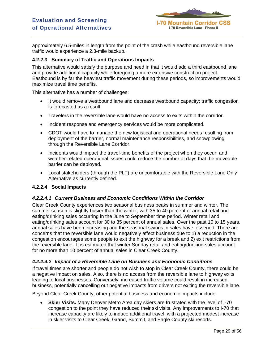

approximately 6.5-miles in length from the point of the crash while eastbound reversible lane traffic would experience a 2.3-mile backup.

#### **4.2.2.3 Summary of Traffic and Operations Impacts**

This alternative would satisfy the purpose and need in that it would add a third eastbound lane and provide additional capacity while foregoing a more extensive construction project. Eastbound is by far the heaviest traffic movement during these periods, so improvements would maximize travel time benefits.

This alternative has a number of challenges:

- It would remove a westbound lane and decrease westbound capacity; traffic congestion is forecasted as a result.
- Travelers in the reversible lane would have no access to exits within the corridor.
- Incident response and emergency services would be more complicated.
- CDOT would have to manage the new logistical and operational needs resulting from deployment of the barrier, normal maintenance responsibilities, and snowplowing through the Reversible Lane Corridor.
- Incidents would impact the travel-time benefits of the project when they occur, and weather-related operational issues could reduce the number of days that the moveable barrier can be deployed.
- Local stakeholders (through the PLT) are uncomfortable with the Reversible Lane Only Alternative as currently defined.

#### **4.2.2.4 Social Impacts**

#### *4.2.2.4.1 Current Business and Economic Conditions Within the Corridor*

Clear Creek County experiences two seasonal business peaks in summer and winter. The summer season is slightly busier than the winter, with 35 to 40 percent of annual retail and eating/drinking sales occurring in the June to September time period. Winter retail and eating/drinking sales account for 30 to 35 percent of annual sales. Over the past 10 to 15 years, annual sales have been increasing and the seasonal swings in sales have lessened. There are concerns that the reversible lane would negatively affect business due to 1) a reduction in the congestion encourages some people to exit the highway for a break and 2) exit restrictions from the reversible lane. It is estimated that winter Sunday retail and eating/drinking sales account for no more than 10 percent of annual sales in Clear Creek County.

### *4.2.2.4.2 Impact of a Reversible Lane on Business and Economic Conditions*

If travel times are shorter and people do not wish to stop in Clear Creek County, there could be a negative impact on sales. Also, there is no access from the reversible lane to highway exits leading to local businesses. Conversely, increased traffic volume could result in increased business, potentially cancelling out negative impacts from drivers not exiting the reversible lane.

Beyond Clear Creek County, other potential business and economic impacts include:

• **Skier Visits.** Many Denver Metro Area day skiers are frustrated with the level of I-70 congestion to the point they have reduced their ski visits. Any improvements to I-70 that increase capacity are likely to induce additional travel, with a projected modest increase in skier visits to Clear Creek, Grand, Summit, and Eagle County ski resorts.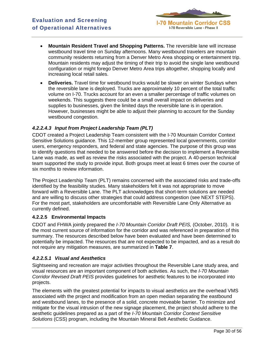

- **Mountain Resident Travel and Shopping Patterns.** The reversible lane will increase westbound travel time on Sunday afternoons. Many westbound travelers are mountain community residents returning from a Denver Metro Area shopping or entertainment trip. Mountain residents may adjust the timing of their trip to avoid the single lane westbound configuration or might forego Denver Metro Area trips altogether, shopping locally and increasing local retail sales.
- **Deliveries.** Travel time for westbound trucks would be slower on winter Sundays when the reversible lane is deployed. Trucks are approximately 10 percent of the total traffic volume on I-70. Trucks account for an even a smaller percentage of traffic volumes on weekends. This suggests there could be a small overall impact on deliveries and supplies to businesses, given the limited days the reversible lane is in operation. However, businesses might be able to adjust their planning to account for the Sunday westbound congestion.

# *4.2.2.4.3 Input from Project Leadership Team (PLT)*

CDOT created a Project Leadership Team consistent with the I-70 Mountain Corridor Context Sensitive Solutions guidance. This 12-member group represented local governments, corridor users, emergency responders, and federal and state agencies. The purpose of this group was to identify questions that needed to be answered before the decision to implement a Reversible Lane was made, as well as review the risks associated with the project. A 40-person technical team supported the study to provide input. Both groups meet at least 6 times over the course of six months to review information.

The Project Leadership Team (PLT) remains concerned with the associated risks and trade-offs identified by the feasibility studies. Many stakeholders felt it was not appropriate to move forward with a Reversible Lane. The PLT acknowledges that short-term solutions are needed and are willing to discuss other strategies that could address congestion (see NEXT STEPS). For the most part, stakeholders are uncomfortable with Reversible Lane Only Alternative as currently defined.

### **4.2.2.5 Environmental Impacts**

CDOT and FHWA jointly prepared the *I-70 Mountain Corridor Draft PEIS,* (October, 2010). It is the most current source of information for the corridor and was referenced in preparation of this summary. The resources described below have been evaluated and have been determined to potentially be impacted. The resources that are not expected to be impacted, and as a result do not require any mitigation measures, are summarized in **Table 7**.

### *4.2.2.5.1 Visual and Aesthetics*

Sightseeing and recreation are major activities throughout the Reversible Lane study area, and visual resources are an important component of both activities. As such, the *I-70 Mountain Corridor Revised Draft PEIS* provides guidelines for aesthetic features to be incorporated into projects.

The elements with the greatest potential for impacts to visual aesthetics are the overhead VMS associated with the project and modification from an open median separating the eastbound and westbound lanes, to the presence of a solid, concrete moveable barrier. To minimize and mitigate for the visual intrusion of the new signage placement, the project should adhere to the aesthetic guidelines prepared as a part of the *I-70 Mountain Corridor Context Sensitive Solutions* (CSS) program, including the Mountain Mineral Belt Aesthetic Guidance.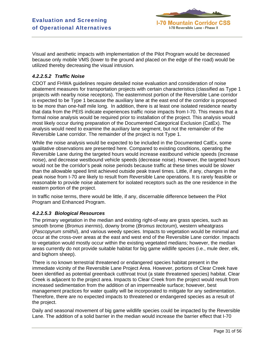

Visual and aesthetic impacts with implementation of the Pilot Program would be decreased because only mobile VMS (lower to the ground and placed on the edge of the road) would be utilized thereby decreasing the visual intrusion.

# *4.2.2.5.2 Traffic Noise*

CDOT and FHWA guidelines require detailed noise evaluation and consideration of noise abatement measures for transportation projects with certain characteristics (classified as Type 1 projects with nearby noise receptors). The easternmost portion of the Reversible Lane corridor is expected to be Type 1 because the auxiliary lane at the east end of the corridor is proposed to be more than one-half mile long. In addition, there is at least one isolated residence nearby that data from the PEIS indicate experiences traffic noise impacts from I-70. This means that a formal noise analysis would be required prior to installation of the project. This analysis would most likely occur during preparation of the Documented Categorical Exclusion (CatEx). The analysis would need to examine the auxiliary lane segment, but not the remainder of the Reversible Lane corridor. The remainder of the project is not Type 1.

While the noise analysis would be expected to be included in the Documented CatEx, some qualitative observations are presented here. Compared to existing conditions, operating the Reversible Lane during the targeted hours would increase eastbound vehicle speeds (increase noise), and decrease westbound vehicle speeds (decrease noise). However, the targeted hours would not be the corridor's peak noise periods because traffic at these times would be slower than the allowable speed limit achieved outside peak travel times. Little, if any, changes in the peak noise from I-70 are likely to result from Reversible Lane operations. It is rarely feasible or reasonable to provide noise abatement for isolated receptors such as the one residence in the eastern portion of the project.

In traffic noise terms, there would be little, if any, discernable difference between the Pilot Program and Enhanced Program.

### *4.2.2.5.3 Biological Resources*

The primary vegetation in the median and existing right-of-way are grass species, such as smooth brome (*Bromus inermis*), downy brome (*Bromus tectorum*), western wheatgrass (*Pascopyrum smithii*), and various weedy species. Impacts to vegetation would be minimal and occur at the cross-over areas at the east and west end of the Reversible Lane corridor. Impacts to vegetation would mostly occur within the existing vegetated medians; however, the median areas currently do not provide suitable habitat for big game wildlife species (i.e., mule deer, elk, and bighorn sheep).

There is no known terrestrial threatened or endangered species habitat present in the immediate vicinity of the Reversible Lane Project Area. However, portions of Clear Creek have been identified as potential greenback cutthroat trout (a state threatened species) habitat. Clear Creek is adjacent to the project area. Impacts to Clear Creek from the project would result from increased sedimentation from the addition of an impermeable surface; however, best management practices for water quality will be incorporated to mitigate for any sedimentation. Therefore, there are no expected impacts to threatened or endangered species as a result of the project.

Daily and seasonal movement of big game wildlife species could be impacted by the Reversible Lane. The addition of a solid barrier in the median would increase the barrier effect that I-70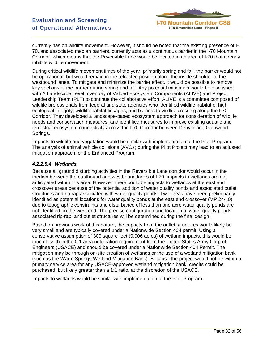

currently has on wildlife movement. However, it should be noted that the existing presence of I-70, and associated median barriers, currently acts as a continuous barrier in the I-70 Mountain Corridor, which means that the Reversible Lane would be located in an area of I-70 that already inhibits wildlife movement.

During critical wildlife movement times of the year, primarily spring and fall, the barrier would not be operational, but would remain in the retracted position along the inside shoulder of the westbound lanes. To mitigate and minimize the barrier effect, it would be possible to remove key sections of the barrier during spring and fall. Any potential mitigation would be discussed with A Landscape Level Inventory of Valued Ecosystem Components (ALIVE) and Project Leadership Team (PLT) to continue the collaborative effort. ALIVE is a committee composed of wildlife professionals from federal and state agencies who identified wildlife habitat of high ecological integrity, wildlife habitat linkages, and barriers to wildlife crossing along the I-70 Corridor. They developed a landscape-based ecosystem approach for consideration of wildlife needs and conservation measures, and identified measures to improve existing aquatic and terrestrial ecosystem connectivity across the I-70 Corridor between Denver and Glenwood Springs.

Impacts to wildlife and vegetation would be similar with implementation of the Pilot Program. The analysis of animal vehicle collisions (AVCs) during the Pilot Project may lead to an adjusted mitigation approach for the Enhanced Program.

### *4.2.2.5.4 Wetlands*

Because all ground disturbing activities in the Reversible Lane corridor would occur in the median between the eastbound and westbound lanes of I-70, impacts to wetlands are not anticipated within this area. However, there could be impacts to wetlands at the east end crossover areas because of the potential addition of water quality ponds and associated outlet structures and rip rap associated with water quality ponds. Two areas have been preliminarily identified as potential locations for water quality ponds at the east end crossover (MP 244.0) due to topographic constraints and disturbance of less than one acre water quality ponds are not identified on the west end. The precise configuration and location of water quality ponds, associated rip-rap, and outlet structures will be determined during the final design.

Based on previous work of this nature, the impacts from the outlet structures would likely be very small and are typically covered under a Nationwide Section 404 permit. Using a conservative assumption of 300 square feet (0.006 acres) of wetland impacts, this would be much less than the 0.1 area notification requirement from the United States Army Corp of Engineers (USACE) and should be covered under a Nationwide Section 404 Permit. The mitigation may be through on-site creation of wetlands or the use of a wetland mitigation bank (such as the Warm Springs Wetland Mitigation Bank). Because the project would not be within a primary service area for any USACE-approved wetland mitigation bank, credits could be purchased, but likely greater than a 1:1 ratio, at the discretion of the USACE.

Impacts to wetlands would be similar with implementation of the Pilot Program.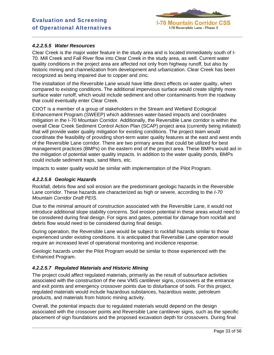

### *4.2.2.5.5 Water Resources*

Clear Creek is the major water feature in the study area and is located immediately south of I-70. Mill Creek and Fall River flow into Clear Creek in the study area, as well. Current water quality conditions in the project area are affected not only from highway runoff, but also by historic mining and channelization from development and urbanization. Clear Creek has been recognized as being impaired due to copper and zinc.

The installation of the Reversible Lane would have little direct effects on water quality, when compared to existing conditions. The additional impervious surface would create slightly more surface water runoff, which would include sediment and other contaminants from the roadway that could eventually enter Clear Creek.

CDOT is a member of a group of stakeholders in the Stream and Wetland Ecological Enhancement Program (SWEEP) which addresses water-based impacts and coordinates mitigation in the I-70 Mountain Corridor. Additionally, the Reversible Lane corridor is within the overall Clear Creek Sediment Control Action Plan (SCAP) project area (currently being initiated) that will provide water quality mitigation for existing conditions. The project team would coordinate the feasibility of providing short-term water quality features at the east and west ends of the Reversible Lane corridor. There are two primary areas that could be utilized for best management practices (BMPs) on the eastern end of the project area. These BMPs would aid in the mitigation of potential water quality impacts. In addition to the water quality ponds, BMPs could include sediment traps, sand filters, etc.

Impacts to water quality would be similar with implementation of the Pilot Program.

#### *4.2.2.5.6 Geologic Hazards*

Rockfall, debris flow and soil erosion are the predominant geologic hazards in the Reversible Lane corridor. These hazards are characterized as high or severe, according to the *I-70 Mountain Corridor Draft PEIS*.

Due to the minimal amount of construction associated with the Reversible Lane, it would not introduce additional slope stability concerns. Soil erosion potential in these areas would need to be considered during final design. For signs and gates, potential for damage from rockfall and debris flow would need to be considered during final design.

During operation, the Reversible Lane would be subject to rockfall hazards similar to those experienced under existing conditions. It is anticipated that Reversible Lane operation would require an increased level of operational monitoring and incidence response.

Geologic hazards under the Pilot Program would be similar to those experienced with the Enhanced Program.

### *4.2.2.5.7 Regulated Materials and Historic Mining*

The project could affect regulated materials, primarily as the result of subsurface activities associated with the construction of the new VMS cantilever signs, crossovers at the entrance and exit points and emergency crossover points due to disturbance of soils. For this project, regulated materials would include hazardous substances, hazardous waste, petroleum products, and materials from historic mining activity.

Overall, the potential impacts due to regulated materials would depend on the design associated with the crossover points and Reversible Lane cantilever signs, such as the specific placement of sign foundations and the proposed excavation depth for crossovers. During final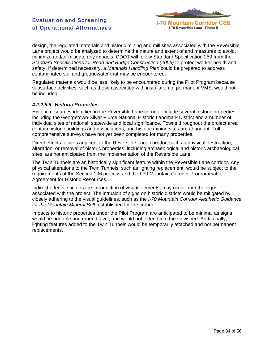

design, the regulated materials and historic mining and mill sites associated with the Reversible Lane project would be analyzed to determine the nature and extent of and measures to avoid, minimize and/or mitigate any impacts. CDOT will follow Standard Specification 250 from the *Standard Specifications for Road and Bridge Construction (2005)* to protect worker health and safety. If determined necessary, a *Materials Handling Plan* could be prepared to address contaminated soil and groundwater that may be encountered.

Regulated materials would be less likely to be encountered during the Pilot Program because subsurface activities, such as those associated with installation of permanent VMS, would not be included.

### *4.2.2.5.8 Historic Properties*

Historic resources identified in the Reversible Lane corridor include several historic properties, including the Georgetown-Silver Plume National Historic Landmark District and a number of individual sites of national, statewide and local significance. Towns throughout the project area contain historic buildings and associations, and historic mining sites are abundant. Full comprehensive surveys have not yet been completed for many properties.

Direct effects to sites adjacent to the Reversible Lane corridor, such as physical destruction, alteration, or removal of historic properties, including archaeological and historic archaeological sites, are not anticipated from the implementation of the Reversible Lane.

The Twin Tunnels are an historically significant feature within the Reversible Lane corridor. Any physical alterations to the Twin Tunnels, such as lighting replacement, would be subject to the requirements of the Section 106 process and the I-70 Mountain Corridor Programmatic Agreement for Historic Resources.

Indirect effects, such as the introduction of visual elements, may occur from the signs associated with the project. The intrusion of signs on historic districts would be mitigated by closely adhering to the visual guidelines, such as the *I-70 Mountain Corridor Aesthetic Guidance for the Mountain Mineral Belt*, established for the corridor.

Impacts to historic properties under the Pilot Program are anticipated to be minimal as signs would be portable and ground level, and would not extend into the viewshed. Additionally, lighting features added to the Twin Tunnels would be temporarily attached and not permanent replacements.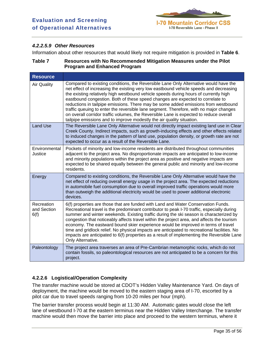

# *4.2.2.5.9 Other Resources*

Information about other resources that would likely not require mitigation is provided in **Table 6**.

| Table 7 | Resources with No Recommended Mitigation Measures under the Pilot |
|---------|-------------------------------------------------------------------|
|         | <b>Program and Enhanced Program</b>                               |

| <b>Resource</b>                   |                                                                                                                                                                                                                                                                                                                                                                                                                                                                                                                                                                                                                                                                                                             |
|-----------------------------------|-------------------------------------------------------------------------------------------------------------------------------------------------------------------------------------------------------------------------------------------------------------------------------------------------------------------------------------------------------------------------------------------------------------------------------------------------------------------------------------------------------------------------------------------------------------------------------------------------------------------------------------------------------------------------------------------------------------|
| <b>Air Quality</b>                | Compared to existing conditions, the Reversible Lane Only Alternative would have the<br>net effect of increasing the existing very low eastbound vehicle speeds and decreasing<br>the existing relatively high westbound vehicle speeds during hours of currently high<br>eastbound congestion. Both of these speed changes are expected to correlate to<br>reductions in tailpipe emissions. There may be some added emissions from westbound<br>traffic queuing to enter the reversible lane segment. Therefore, with no major changes<br>on overall corridor traffic volumes, the Reversible Lane is expected to reduce overall<br>tailpipe emissions and to improve modestly the air quality situation. |
| <b>Land Use</b>                   | The Reversible Lane Only Alternative would not directly impact existing land use in Clear<br>Creek County. Indirect impacts, such as growth-inducing effects and other effects related<br>to induced changes in the pattern of land use, population density, or growth rate are not<br>expected to occur as a result of the Reversible Lane.                                                                                                                                                                                                                                                                                                                                                                |
| Environmental<br>Justice          | Pockets of minority and low-income residents are distributed throughout communities<br>adjacent to the project area. No disproportionate impacts are anticipated to low-income<br>and minority populations within the project area as positive and negative impacts are<br>expected to be shared equally between the general public and minority and low-income<br>residents.                                                                                                                                                                                                                                                                                                                               |
| Energy                            | Compared to existing conditions, the Reversible Lane Only Alternative would have the<br>net effect of reducing overall energy usage in the project area. The expected reductions<br>in automobile fuel consumption due to overall improved traffic operations would more<br>than outweigh the additional electricity would be used to power additional electronic<br>devices.                                                                                                                                                                                                                                                                                                                               |
| Recreation<br>and Section<br>6(f) | 6(f) properties are those that are funded with Land and Water Conservation Funds.<br>Recreational travel is the predominant contributor to peak I-70 traffic, especially during<br>summer and winter weekends. Existing traffic during the ski season is characterized by<br>congestion that noticeably affects travel within the project area, and affects the tourism<br>economy. The eastward bound skier experience would be improved in terms of travel<br>time and gridlock relief. No physical impacts are anticipated to recreational facilities. No<br>impacts are anticipated to 6(f) properties as a result of implementing the Reversible Lane<br>Only Alternative.                             |
| Paleontology                      | The project area traverses an area of Pre-Cambrian metamorphic rocks, which do not<br>contain fossils, so paleontological resources are not anticipated to be a concern for this<br>project.                                                                                                                                                                                                                                                                                                                                                                                                                                                                                                                |

# **4.2.2.6 Logistical/Operation Complexity**

The transfer machine would be stored at CDOT's Hidden Valley Maintenance Yard. On days of deployment, the machine would be moved to the eastern staging area of I-70, escorted by a pilot car due to travel speeds ranging from 10-20 miles per hour (mph).

The barrier transfer process would begin at 11:30 AM. Automatic gates would close the left lane of westbound I-70 at the eastern terminus near the Hidden Valley Interchange. The transfer machine would then move the barrier into place and proceed to the western terminus, where it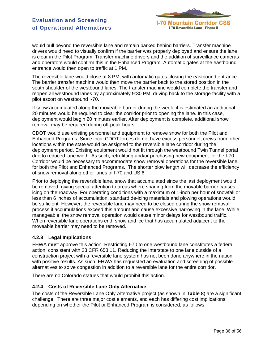

would pull beyond the reversible lane and remain parked behind barriers. Transfer machine drivers would need to visually confirm if the barrier was properly deployed and ensure the lane is clear in the Pilot Program. Transfer machine drivers and the addition of surveillance cameras and operators would confirm this in the Enhanced Program. Automatic gates at the eastbound entrance would then open to traffic at 1 PM.

The reversible lane would close at 8 PM, with automatic gates closing the eastbound entrance. The barrier transfer machine would then move the barrier back to the stored position in the south shoulder of the westbound lanes. The transfer machine would complete the transfer and reopen all westbound lanes by approximately 9:30 PM, driving back to the storage facility with a pilot escort on westbound I-70.

If snow accumulated along the moveable barrier during the week, it is estimated an additional 20 minutes would be required to clear the corridor prior to opening the lane. In this case, deployment would begin 20 minutes earlier. After deployment is complete, additional snow removal may be required during off-peak hours.

CDOT would use existing personnel and equipment to remove snow for both the Pilot and Enhanced Programs. Since local CDOT forces do not have excess personnel, crews from other locations within the state would be assigned to the reversible lane corridor during the deployment period. Existing equipment would not fit through the westbound Twin Tunnel portal due to reduced lane width. As such, retrofitting and/or purchasing new equipment for the I-70 Corridor would be necessary to accommodate snow removal operations for the reversible lane for both the Pilot and Enhanced Programs. The shorter plow length will decrease the efficiency of snow removal along other lanes of I-70 and US 6.

Prior to deploying the reversible lane, snow that accumulated since the last deployment would be removed, giving special attention to areas where shading from the movable barrier causes icing on the roadway. For operating conditions with a maximum of 1-inch per hour of snowfall or less than 6 inches of accumulation, standard de-icing materials and plowing operations would be sufficient. However, the reversible lane may need to be closed during the snow removal process if accumulations exceed this amount and cause excessive narrowing in the lane. While manageable, the snow removal operation would cause minor delays for westbound traffic. When reversible lane operations end, snow and ice that has accumulated adjacent to the moveable barrier may need to be removed.

### **4.2.3 Legal Implications**

FHWA must approve this action. Restricting I-70 to one westbound lane constitutes a federal action, consistent with 23 CFR 658.11. Reducing the Interstate to one lane outside of a construction project with a reversible lane system has not been done anywhere in the nation with positive results. As such, FHWA has requested an evaluation and screening of possible alternatives to solve congestion in addition to a reversible lane for the entire corridor.

There are no Colorado statues that would prohibit this action.

#### **4.2.4 Costs of Reversible Lane Only Alternative**

The costs of the Reversible Lane Only Alternative project (as shown in **Table 8**) are a significant challenge. There are three major cost elements, and each has differing cost implications depending on whether the Pilot or Enhanced Program is considered, as follows: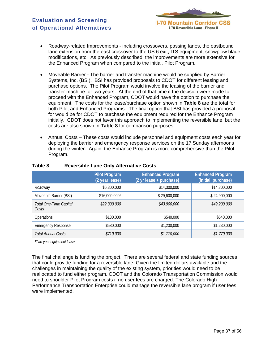- Roadway-related Improvements including crossovers, passing lanes, the eastbound lane extension from the east crossover to the US 6 exit, ITS equipment, snowplow blade modifications, etc. As previously described, the improvements are more extensive for the Enhanced Program when compared to the initial, Pilot Program.
- Moveable Barrier The barrier and transfer machine would be supplied by Barrier Systems, Inc. (BSI). BSI has provided proposals to CDOT for different leasing and purchase options. The Pilot Program would involve the leasing of the barrier and transfer machine for two years. At the end of that time if the decision were made to proceed with the Enhanced Program, CDOT would have the option to purchase the equipment. The costs for the lease/purchase option shown in **Table 8** are the total for both Pilot and Enhanced Programs. The final option that BSI has provided a proposal for would be for CDOT to purchase the equipment required for the Enhance Program initially. CDOT does not favor this approach to implementing the reversible lane, but the costs are also shown in **Table 8** for comparison purposes.
- Annual Costs These costs would include personnel and equipment costs each year for deploying the barrier and emergency response services on the 17 Sunday afternoons during the winter. Again, the Enhance Program is more comprehensive than the Pilot Program.

|                                       | <b>Pilot Program</b><br>(2 year lease) | <b>Enhanced Program</b><br>(2 yr lease + purchase) | <b>Enhanced Program</b><br>(initial purchase) |
|---------------------------------------|----------------------------------------|----------------------------------------------------|-----------------------------------------------|
| Roadway                               | \$6,300,000                            | \$14,300,000                                       | \$14,300,000                                  |
| Moveable Barrier (BSI)                | \$16,000,0001                          | \$29,600,000                                       | \$24,900,000                                  |
| Total One-Time Capital<br>Costs       | \$22,300,000                           | \$43,900,000                                       | \$49,200,000                                  |
| <b>Operations</b>                     | \$130,000                              | \$540,000                                          | \$540,000                                     |
| <b>Emergency Response</b>             | \$580,000                              | \$1,230,000                                        | \$1,230,000                                   |
| <b>Total Annual Costs</b>             | \$710,000                              | \$1,770,000                                        | \$1,770,000                                   |
| <sup>1</sup> Two-year equipment lease |                                        |                                                    |                                               |

### **Table 8 Reversible Lane Only Alternative Costs**

The final challenge is funding the project. There are several federal and state funding sources that could provide funding for a reversible lane. Given the limited dollars available and the challenges in maintaining the quality of the existing system, priorities would need to be reallocated to fund either program. CDOT and the Colorado Transportation Commission would need to shoulder Pilot Program costs if no user fees are charged. The Colorado High Performance Transportation Enterprise could manage the reversible lane program if user fees were implemented.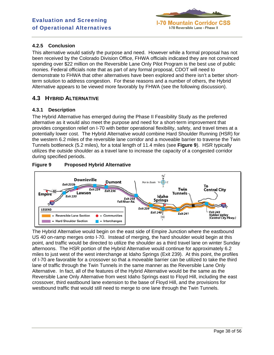

# **4.2.5 Conclusion**

This alternative would satisfy the purpose and need. However while a formal proposal has not been received by the Colorado Division Office, FHWA officials indicated they are not convinced spending over \$22 million on the Reversible Lane Only Pilot Program is the best use of public monies. Federal officials note that as part of any formal proposal, CDOT will need to demonstrate to FHWA that other alternatives have been explored and there isn't a better shortterm solution to address congestion. For these reasons and a number of others, the Hybrid Alternative appears to be viewed more favorably by FHWA (see the following discussion).

# **4.3 HYBRID ALTERNATIVE**

# **4.3.1 Description**

The Hybrid Alternative has emerged during the Phase II Feasibility Study as the preferred alternative as it would also meet the purpose and need for a short-term improvement that provides congestion relief on I-70 with better operational flexibility, safety, and travel times at a potentially lower cost. The Hybrid Alternative would combine Hard Shoulder Running (HSR) for the western 6.2 miles of the reversible lane corridor and a moveable barrier to traverse the Twin Tunnels bottleneck (5.2 miles), for a total length of 11.4 miles (see **Figure 9**). HSR typically utilizes the outside shoulder as a travel lane to increase the capacity of a congested corridor during specified periods.





The Hybrid Alternative would begin on the east side of Empire Junction where the eastbound US 40 on-ramp merges onto I-70. Instead of merging, the hard shoulder would begin at this point, and traffic would be directed to utilize the shoulder as a third travel lane on winter Sunday afternoons. The HSR portion of the Hybrid Alternative would continue for approximately 6.2 miles to just west of the west interchange at Idaho Springs (Exit 239). At this point, the profiles of I-70 are favorable for a crossover so that a moveable barrier can be utilized to take the third lane of traffic through the Twin Tunnels in the same manner as the Reversible Lane Only Alternative. In fact, all of the features of the Hybrid Alternative would be the same as the Reversible Lane Only Alternative from west Idaho Springs east to Floyd Hill, including the east crossover, third eastbound lane extension to the base of Floyd Hill, and the provisions for westbound traffic that would still need to merge to one lane through the Twin Tunnels.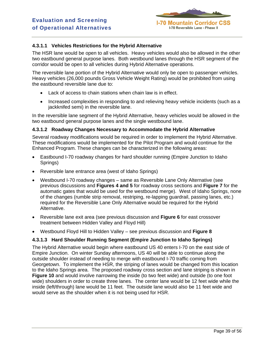

# **4.3.1.1 Vehicles Restrictions for the Hybrid Alternative**

The HSR lane would be open to all vehicles. Heavy vehicles would also be allowed in the other two eastbound general purpose lanes. Both westbound lanes through the HSR segment of the corridor would be open to all vehicles during Hybrid Alternative operations.

The reversible lane portion of the Hybrid Alternative would only be open to passenger vehicles. Heavy vehicles (26,000 pounds Gross Vehicle Weight Rating) would be prohibited from using the eastbound reversible lane due to:

- Lack of access to chain stations when chain law is in effect.
- Increased complexities in responding to and relieving heavy vehicle incidents (such as a jackknifed semi) in the reversible lane.

In the reversible lane segment of the Hybrid Alternative, heavy vehicles would be allowed in the two eastbound general purpose lanes and the single westbound lane.

#### **4.3.1.2 Roadway Changes Necessary to Accommodate the Hybrid Alternative**

Several roadway modifications would be required in order to implement the Hybrid Alternative. These modifications would be implemented for the Pilot Program and would continue for the Enhanced Program. These changes can be characterized in the following areas:

- Eastbound I-70 roadway changes for hard shoulder running (Empire Junction to Idaho Springs)
- Reversible lane entrance area (west of Idaho Springs)
- Westbound I-70 roadway changes same as Reversible Lane Only Alternative (see previous discussions and **Figures 4 and 5** for roadway cross sections and **Figure 7** for the automatic gates that would be used for the westbound merge). West of Idaho Springs, none of the changes (rumble strip removal, restriping, re-lapping guardrail, passing lanes, etc.) required for the Reversible Lane Only Alternative would be required for the Hybrid Alternative.
- Reversible lane exit area (see previous discussion and **Figure 6** for east crossover treatment between Hidden Valley and Floyd Hill)
- Westbound Floyd Hill to Hidden Valley see previous discussion and **Figure 8**

### **4.3.1.3 Hard Shoulder Running Segment (Empire Junction to Idaho Springs)**

The Hybrid Alternative would begin where eastbound US 40 enters I-70 on the east side of Empire Junction. On winter Sunday afternoons, US 40 will be able to continue along the outside shoulder instead of needing to merge with eastbound I-70 traffic coming from Georgetown. To implement the HSR, the striping of lanes would be changed from this location to the Idaho Springs area. The proposed roadway cross section and lane striping is shown in **Figure 10** and would involve narrowing the inside (to two feet wide) and outside (to one foot wide) shoulders in order to create three lanes. The center lane would be 12 feet wide while the inside (left/through) lane would be 11 feet. The outside lane would also be 11 feet wide and would serve as the shoulder when it is not being used for HSR.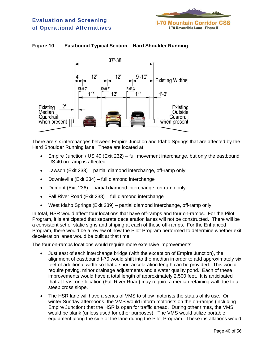

# **Figure 10 Eastbound Typical Section – Hard Shoulder Running**



There are six interchanges between Empire Junction and Idaho Springs that are affected by the Hard Shoulder Running lane. These are located at:

- Empire Junction / US 40 (Exit 232) full movement interchange, but only the eastbound US 40 on-ramp is affected
- Lawson (Exit 233) partial diamond interchange, off-ramp only
- Downieville (Exit 234) full diamond interchange
- Dumont (Exit 236) partial diamond interchange, on-ramp only
- Fall River Road (Exit 238) full diamond interchange
- West Idaho Springs (Exit 239) partial diamond interchange, off-ramp only

In total, HSR would affect four locations that have off-ramps and four on-ramps. For the Pilot Program, it is anticipated that separate deceleration lanes will not be constructed. There will be a consistent set of static signs and striping at each of these off-ramps. For the Enhanced Program, there would be a review of how the Pilot Program performed to determine whether exit deceleration lanes would be built at that time.

The four on-ramps locations would require more extensive improvements:

- Just east of each interchange bridge (with the exception of Empire Junction), the alignment of eastbound I-70 would shift into the median in order to add approximately six feet of additional width so that a short acceleration length can be provided. This would require paving, minor drainage adjustments and a water quality pond. Each of these improvements would have a total length of approximately 2,500 feet. It is anticipated that at least one location (Fall River Road) may require a median retaining wall due to a steep cross slope.
- The HSR lane will have a series of VMS to show motorists the status of its use. On winter Sunday afternoons, the VMS would inform motorists on the on-ramps (including Empire Junction) that the HSR is open for traffic ahead. During other times, the VMS would be blank (unless used for other purposes). The VMS would utilize portable equipment along the side of the lane during the Pilot Program. These installations would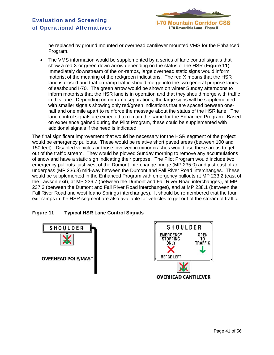

be replaced by ground mounted or overhead cantilever mounted VMS for the Enhanced Program.

• The VMS information would be supplemented by a series of lane control signals that show a red X or green down arrow depending on the status of the HSR (**Figure 11**). Immediately downstream of the on-ramps, large overhead static signs would inform motorist of the meaning of the red/green indications. The red X means that the HSR lane is closed and that on-ramp traffic should merge into the two general purpose lanes of eastbound I-70. The green arrow would be shown on winter Sunday afternoons to inform motorists that the HSR lane is in operation and that they should merge with traffic in this lane. Depending on on-ramp separations, the large signs will be supplemented with smaller signals showing only red/green indications that are spaced between onehalf and one mile apart to reinforce the message about the status of the HSR lane. The lane control signals are expected to remain the same for the Enhanced Program. Based on experience gained during the Pilot Program, these could be supplemented with additional signals if the need is indicated.

The final significant improvement that would be necessary for the HSR segment of the project would be emergency pullouts. These would be relative short paved areas (between 100 and 150 feet). Disabled vehicles or those involved in minor crashes would use these areas to get out of the traffic stream. They would be plowed Sunday morning to remove any accumulations of snow and have a static sign indicating their purpose. The Pilot Program would include two emergency pullouts: just west of the Dumont interchange bridge (MP 235.0) and just east of an underpass (MP 236.3) mid-way between the Dumont and Fall River Road interchanges. These would be supplemented in the Enhanced Program with emergency pullouts at MP 233.2 (east of the Lawson exit), at MP 236.7 (between the Dumont and Fall River Road interchanges), at MP 237.3 (between the Dumont and Fall River Road interchanges), and at MP 238.1 (between the Fall River Road and west Idaho Springs interchanges). It should be remembered that the four exit ramps in the HSR segment are also available for vehicles to get out of the stream of traffic.

# **Figure 11 Typical HSR Lane Control Signals**



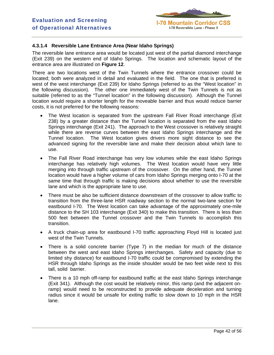

# **4.3.1.4 Reversible Lane Entrance Area (Near Idaho Springs)**

The reversible lane entrance area would be located just west of the partial diamond interchange (Exit 239) on the western end of Idaho Springs. The location and schematic layout of the entrance area are illustrated on **Figure 12**.

There are two locations west of the Twin Tunnels where the entrance crossover could be located; both were analyzed in detail and evaluated in the field. The one that is preferred is west of the west interchange (Exit 239) for Idaho Springs (referred to as the "West location" in the following discussion). The other one immediately west of the Twin Tunnels is not as suitable (referred to as the "Tunnel location" in the following discussion). Although the Tunnel location would require a shorter length for the moveable barrier and thus would reduce barrier costs, it is not preferred for the following reasons:

- The West location is separated from the upstream Fall River Road interchange (Exit 238) by a greater distance than the Tunnel location is separated from the east Idaho Springs interchange (Exit 241). The approach to the West crossover is relatively straight while there are reverse curves between the east Idaho Springs interchange and the Tunnel location. The West location gives drivers more sight distance to see the advanced signing for the reversible lane and make their decision about which lane to use.
- The Fall River Road interchange has very low volumes while the east Idaho Springs interchange has relatively high volumes. The West location would have very little merging into through traffic upstream of the crossover. On the other hand, the Tunnel location would have a higher volume of cars from Idaho Springs merging onto I-70 at the same time that through traffic is making decisions about whether to use the reversible lane and which is the appropriate lane to use.
- There must be also be sufficient distance downstream of the crossover to allow traffic to transition from the three-lane HSR roadway section to the normal two-lane section for eastbound I-70. The West location can take advantage of the approximately one-mile distance to the SH 103 interchange (Exit 340) to make this transition. There is less than 500 feet between the Tunnel crossover and the Twin Tunnels to accomplish this transition.
- A truck chain-up area for eastbound I-70 traffic approaching Floyd Hill is located just west of the Twin Tunnels.
- There is a solid concrete barrier (Type 7) in the median for much of the distance between the west and east Idaho Springs interchanges. Safety and capacity (due to limited shy distance) for eastbound I-70 traffic could be compromised by extending the HSR through Idaho Springs as the inside shoulder would be two feet wide next to this tall, solid barrier.
- There is a 10 mph off-ramp for eastbound traffic at the east Idaho Springs interchange (Exit 341). Although the cost would be relatively minor, this ramp (and the adjacent onramp) would need to be reconstructed to provide adequate deceleration and turning radius since it would be unsafe for exiting traffic to slow down to 10 mph in the HSR lane.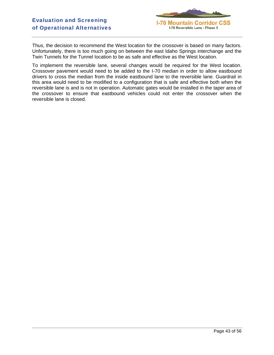

Thus, the decision to recommend the West location for the crossover is based on many factors. Unfortunately, there is too much going on between the east Idaho Springs interchange and the Twin Tunnels for the Tunnel location to be as safe and effective as the West location.

To implement the reversible lane, several changes would be required for the West location. Crossover pavement would need to be added to the I-70 median in order to allow eastbound drivers to cross the median from the inside eastbound lane to the reversible lane. Guardrail in this area would need to be modified to a configuration that is safe and effective both when the reversible lane is and is not in operation. Automatic gates would be installed in the taper area of the crossover to ensure that eastbound vehicles could not enter the crossover when the reversible lane is closed.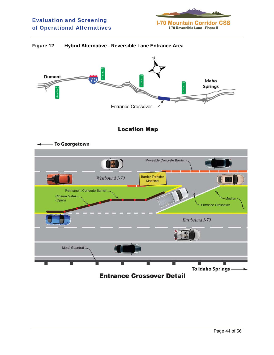

## **Figure 12 Hybrid Alternative - Reversible Lane Entrance Area**

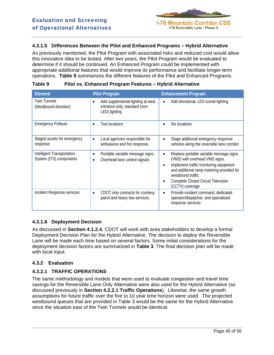# **4.3.1.5 Differences Between the Pilot and Enhanced Programs – Hybrid Alternative**

As previously mentioned, the Pilot Program with associated risks and reduced cost would allow this innovative idea to be tested. After two years, the Pilot Program would be evaluated to determine if it should be continued. An Enhanced Program could be implemented with appropriate additional features that would improve its performance and facilitate longer-term operations. **Table 9** summarizes the different features of the Pilot and Enhanced Programs.

| <b>Element</b>                                        | <b>Pilot Program</b>                                                                | <b>Enhancement Program</b>                                                                                                                                                                                                                                                                   |
|-------------------------------------------------------|-------------------------------------------------------------------------------------|----------------------------------------------------------------------------------------------------------------------------------------------------------------------------------------------------------------------------------------------------------------------------------------------|
| <b>Twin Tunnels</b><br>(Westbound direction)          | Add supplemental lighting at west<br>entrance only, standard (non-<br>LED) lighting | Add directional, LED tunnel lighting<br>$\bullet$                                                                                                                                                                                                                                            |
| <b>Emergency Pullouts</b>                             | Two locations                                                                       | Six locations<br>$\bullet$                                                                                                                                                                                                                                                                   |
| Staged assets for emergency<br>response               | Local agencies responsible for<br>$\bullet$<br>ambulance and fire response,         | Stage additional emergency response<br>$\bullet$<br>vehicles along the reversible lane corridor                                                                                                                                                                                              |
| Intelligent Transportation<br>System (ITS) components | Portable variable message signs.<br>$\bullet$<br>Overhead lane control signals      | Replace portable variable message signs<br>$\bullet$<br>(VMS) with overhead VMS signs.<br>Implement traffic monitoring equipment<br>$\bullet$<br>and additional ramp metering provided for<br>westbound traffic<br><b>Complete Closed Circuit Television</b><br>$\bullet$<br>(CCTV) coverage |
| Incident Response services                            | CDOT only contracts for courtesy<br>$\bullet$<br>patrol and heavy tow services.     | Provide incident command, dedicated<br>$\bullet$<br>operator/dispatcher, and specialized<br>response services                                                                                                                                                                                |

#### **Table 9 Pilot vs. Enhanced Program Features – Hybrid Alternative**

# **4.3.1.6 Deployment Decision**

As discussed in **Section 4.1.2.4**, CDOT will work with area stakeholders to develop a formal Deployment Decision Plan for the Hybrid Alternative. The decision to deploy the Reversible Lane will be made each time based on several factors. Some initial considerations for the deployment decision factors are summarized in **Table 3**. The final decision plan will be made with local input.

### **4.3.2 Evaluation**

# **4.3.2.1 TRAFFIC OPERATIONS**

The same methodology and models that were used to evaluate congestion and travel time savings for the Reversible Lane Only Alternative were also used for the Hybrid Alternative (as discussed previously in **Section 4.2.2.1 Traffic Operations**). Likewise, the same growth assumptions for future traffic over the five to 10 year time horizon were used. The projected westbound queues that are provided in Table 3 would be the same for the Hybrid Alternative since the situation east of the Twin Tunnels would be identical.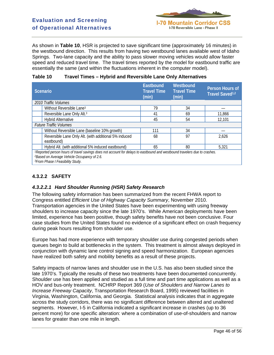As shown in **Table 10**, HSR is projected to save significant time (approximately 16 minutes) in the westbound direction. This results from having two westbound lanes available west of Idaho Springs. Two-lane capacity and the ability to pass slower moving vehicles would allow faster speed and reduced travel time. The travel times reported by the model for eastbound traffic are essentially the same (and within the fluctuations inherent in the computer model).

| Table 10 | <b>Travel Times - Hybrid and Reversible Lane Only Alternatives</b> |
|----------|--------------------------------------------------------------------|
|          |                                                                    |

| Scenario |                                                                                                                                                                                                                                                  | Eastbound<br><b>Travel Time</b><br>(min) | Westbound<br><b>Travel Time</b><br>(min) | <b>Person Hours of</b><br>Travel Saved <sup>1,2</sup> |
|----------|--------------------------------------------------------------------------------------------------------------------------------------------------------------------------------------------------------------------------------------------------|------------------------------------------|------------------------------------------|-------------------------------------------------------|
|          | 2010 Traffic Volumes                                                                                                                                                                                                                             |                                          |                                          |                                                       |
|          | Without Reversible Lane <sup>3</sup>                                                                                                                                                                                                             | 79                                       | 34                                       |                                                       |
|          | Reversible Lane Only Alt. <sup>3</sup>                                                                                                                                                                                                           | 41                                       | 69                                       | 11,866                                                |
|          | <b>Hybrid Alternative</b>                                                                                                                                                                                                                        | 45                                       | 54                                       | 12,101                                                |
|          | <b>Future Traffic Volumes</b>                                                                                                                                                                                                                    |                                          |                                          |                                                       |
|          | Without Reversible Lane (baseline 10% growth)                                                                                                                                                                                                    | 111                                      | 34                                       |                                                       |
|          | Reversible Lane Only Alt. (with additional 5% induced<br>eastbound)                                                                                                                                                                              | 68                                       | 97                                       | 2,626                                                 |
|          | Hybrid Alt. (with additional 5% induced eastbound)                                                                                                                                                                                               | 65                                       | 80                                       | 5,321                                                 |
|          | <sup>1</sup> Reported person hours of travel savings does not account for delays to eastbound and westbound travelers due to crashes.<br><sup>2</sup> Based on Average Vehicle Occupancy of 2.6.<br><sup>3</sup> From Phase I Feasibility Study. |                                          |                                          |                                                       |

# **4.3.2.2 SAFETY**

# *4.3.2.2.1 Hard Shoulder Running (HSR) Safety Research*

The following safety information has been summarized from the recent FHWA report to Congress entitled *Efficient Use of Highway Capacity Summary*, November 2010. Transportation agencies in the United States have been experimenting with using freeway shoulders to increase capacity since the late 1970's. While American deployments have been limited, experience has been positive, though safety benefits have not been conclusive. Four case studies from the United States found no evidence of a significant effect on crash frequency during peak hours resulting from shoulder use.

Europe has had more experience with temporary shoulder use during congested periods when queues begin to build at bottlenecks in the system. This treatment is almost always deployed in conjunction with dynamic lane control signing and speed harmonization. European agencies have realized both safety and mobility benefits as a result of these projects.

Safety impacts of narrow lanes and shoulder use in the U.S. has also been studied since the late 1970's. Typically the results of these two treatments have been documented concurrently. Shoulder use has been applied and studied as a full time and part time applications as well as a HOV and bus-only treatment. NCHRP Report 369 (*Use of Shoulders and Narrow Lanes to Increase Freeway Capacity*, Transportation Research Board, 1995) reviewed facilities in Virginia, Washington, California, and Georgia. Statistical analysis indicates that in aggregate across the study corridors, there was no significant difference between altered and unaltered segments. However, I-5 in California indicated a significant increase in crashes (up to 36 percent more) for one specific alteration: where a combination of use-of-shoulders and narrow lanes for greater than one mile in length.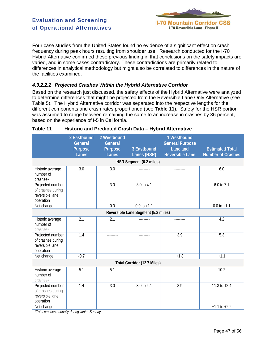

Four case studies from the United States found no evidence of a significant effect on crash frequency during peak hours resulting from shoulder use. Research conducted for the I-70 Hybrid Alternative confirmed these previous finding in that conclusions on the safety impacts are varied, and in some cases contradictory. These contradictions are primarily related to differences in analytical methodology but might also be correlated to differences in the nature of the facilities examined.

# *4.3.2.2.2 Projected Crashes Within the Hybrid Alternative Corridor*

Based on the research just discussed, the safety effects of the Hybrid Alternative were analyzed to determine differences that might be projected from the Reversible Lane Only Alternative (see Table 5). The Hybrid Alternative corridor was separated into the respective lengths for the different components and crash rates proportioned (see **Table 11**). Safety for the HSR portion was assumed to range between remaining the same to an increase in crashes by 36 percent, based on the experience of I-5 in California.

|                                                                       | 2 Eastbound<br><b>General</b> | 2 Westbound<br><b>General</b> |                                     | 1 Westbound<br><b>General Purpose</b> |                                                    |
|-----------------------------------------------------------------------|-------------------------------|-------------------------------|-------------------------------------|---------------------------------------|----------------------------------------------------|
|                                                                       | <b>Purpose</b><br>Lanes       | Purpose<br><b>Lanes</b>       | 3 Eastbound<br>Lanes (HSR)          | Lane and<br><b>Reversible Lane</b>    | <b>Estimated Total</b><br><b>Number of Crashes</b> |
|                                                                       |                               |                               | HSR Segment (6.2 miles)             |                                       |                                                    |
| Historic average<br>number of<br>crashes <sup>1</sup>                 | 3.0                           | 3.0                           | ---------                           | ---------                             | 6.0                                                |
| Projected number<br>of crashes during<br>reversible lane<br>operation | ---------                     | $\overline{3.0}$              | 3.0 to 4.1                          | .                                     | 6.0 to 7.1                                         |
| Net change                                                            |                               | 0.0                           | $0.0 to +1.1$                       |                                       | $0.0$ to $+1.1$                                    |
|                                                                       |                               |                               | Reversible Lane Segment (5.2 miles) |                                       |                                                    |
| Historic average<br>number of<br>crashes <sup>1</sup>                 | 2.1                           | 2.1                           |                                     | ---------                             | 4.2                                                |
| Projected number<br>of crashes during<br>reversible lane<br>operation | 1.4                           | .                             | ---------                           | 3.9                                   | 5.3                                                |
| Net change                                                            | $-0.7$                        |                               |                                     | $+1.8$                                | $+1.1$                                             |
| <b>Total Corridor (12.7 Miles)</b>                                    |                               |                               |                                     |                                       |                                                    |
| Historic average<br>number of<br>crashes <sup>1</sup>                 | 5.1                           | 5.1                           | ---------                           | ---------                             | 10.2                                               |
| Projected number<br>of crashes during<br>reversible lane<br>operation | 1.4                           | 3.0                           | 3.0 to 4.1                          | 3.9                                   | 11.3 to 12.4                                       |
| Net change                                                            |                               |                               |                                     |                                       | $+1.1$ to $+2.2$                                   |
| <sup>1</sup> Total crashes annually during winter Sundays.            |                               |                               |                                     |                                       |                                                    |

#### **Table 11 Historic and Predicted Crash Data – Hybrid Alternative**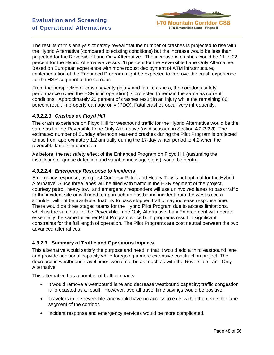**I-70 Mountain Corridor CSS** I-70 Reversible Lane - Phase II

The results of this analysis of safety reveal that the number of crashes is projected to rise with the Hybrid Alternative (compared to existing conditions) but the increase would be less than projected for the Reversible Lane Only Alternative. The increase in crashes would be 11 to 22 percent for the Hybrid Alternative versus 26 percent for the Reversible Lane Only Alternative. Based on European experience with more robust deployment of ATM infrastructure, implementation of the Enhanced Program might be expected to improve the crash experience for the HSR segment of the corridor.

From the perspective of crash severity (injury and fatal crashes), the corridor's safety performance (when the HSR is in operation) is projected to remain the same as current conditions. Approximately 20 percent of crashes result in an injury while the remaining 80 percent result in property damage only (PDO). Fatal crashes occur very infrequently.

# *4.3.2.2.3 Crashes on Floyd Hill*

The crash experience on Floyd Hill for westbound traffic for the Hybrid Alternative would be the same as for the Reversible Lane Only Alternative (as discussed in Section **4.2.2.2.3**). The estimated number of Sunday afternoon rear-end crashes during the Pilot Program is projected to rise from approximately 1.2 annually during the 17-day winter period to 4.2 when the reversible lane is in operation.

As before, the net safety effect of the Enhanced Program on Floyd Hill (assuming the installation of queue detection and variable message signs) would be neutral.

#### *4.3.2.2.4 Emergency Response to Incidents*

Emergency response, using just Courtesy Patrol and Heavy Tow is not optimal for the Hybrid Alternative. Since three lanes will be filled with traffic in the HSR segment of the project, courtesy patrol, heavy tow, and emergency responders will use uninvolved lanes to pass traffic to the incident site or will need to approach an eastbound incident from the west since a shoulder will not be available. Inability to pass stopped traffic may increase response time. There would be three staged teams for the Hybrid Pilot Program due to access limitations, which is the same as for the Reversible Lane Only Alternative. Law Enforcement will operate essentially the same for either Pilot Program since both programs result in significant constraints for the full length of operation. The Pilot Programs are cost neutral between the two advanced alternatives.

### **4.3.2.3 Summary of Traffic and Operations Impacts**

This alternative would satisfy the purpose and need in that it would add a third eastbound lane and provide additional capacity while foregoing a more extensive construction project. The decrease in westbound travel times would not be as much as with the Reversible Lane Only Alternative.

This alternative has a number of traffic impacts:

- It would remove a westbound lane and decrease westbound capacity; traffic congestion is forecasted as a result. However, overall travel time savings would be positive.
- Travelers in the reversible lane would have no access to exits within the reversible lane segment of the corridor.
- Incident response and emergency services would be more complicated.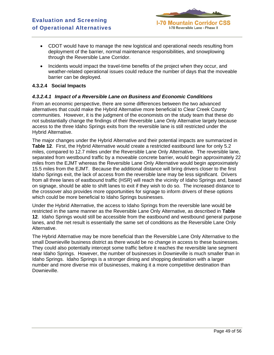

- CDOT would have to manage the new logistical and operational needs resulting from deployment of the barrier, normal maintenance responsibilities, and snowplowing through the Reversible Lane Corridor.
- Incidents would impact the travel-time benefits of the project when they occur, and weather-related operational issues could reduce the number of days that the moveable barrier can be deployed.

#### **4.3.2.4 Social Impacts**

#### *4.3.2.4.1 Impact of a Reversible Lane on Business and Economic Conditions*

From an economic perspective, there are some differences between the two advanced alternatives that could make the Hybrid Alternative more beneficial to Clear Creek County communities. However, it is the judgment of the economists on the study team that these do not substantially change the findings of their Reversible Lane Only Alternative largely because access to the three Idaho Springs exits from the reversible lane is still restricted under the Hybrid Alternative.

The major changes under the Hybrid Alternative and their potential impacts are summarized in **Table 12**. First, the Hybrid Alternative would create a restricted eastbound lane for only 5.2 miles, compared to 12.7 miles under the Reversible Lane Only Alternative. The reversible lane, separated from westbound traffic by a moveable concrete barrier, would begin approximately 22 miles from the EJMT whereas the Reversible Lane Only Alternative would begin approximately 15.5 miles from the EJMT. Because the additional distance will bring drivers closer to the first Idaho Springs exit, the lack of access from the reversible lane may be less significant. Drivers from all three lanes of eastbound traffic (HSR) will reach the vicinity of Idaho Springs and, based on signage, should be able to shift lanes to exit if they wish to do so. The increased distance to the crossover also provides more opportunities for signage to inform drivers of these options which could be more beneficial to Idaho Springs businesses.

Under the Hybrid Alternative, the access to Idaho Springs from the reversible lane would be restricted in the same manner as the Reversible Lane Only Alternative, as described in **Table 12**. Idaho Springs would still be accessible from the eastbound and westbound general purpose lanes, and the net result is essentially the same set of conditions as the Reversible Lane Only Alternative.

The Hybrid Alternative may be more beneficial than the Reversible Lane Only Alternative to the small Downieville business district as there would be no change in access to these businesses. They could also potentially intercept some traffic before it reaches the reversible lane segment near Idaho Springs. However, the number of businesses in Downieville is much smaller than in Idaho Springs. Idaho Springs is a stronger dining and shopping destination with a larger number and more diverse mix of businesses, making it a more competitive destination than Downieville.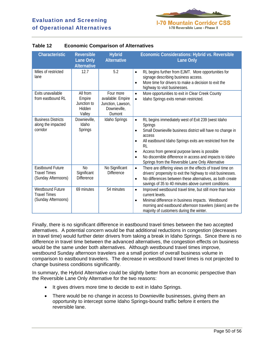

| Characteristic                                                        | <b>Reversible</b><br>Lane Only<br><b>Alternative</b>  | <b>Hybrid</b><br><b>Alternative</b>                                           | Economic Considerations: Hybrid vs. Reversible<br><b>Lane Only</b>                                                                                                                                                                                                                                                                                                                                                                                 |
|-----------------------------------------------------------------------|-------------------------------------------------------|-------------------------------------------------------------------------------|----------------------------------------------------------------------------------------------------------------------------------------------------------------------------------------------------------------------------------------------------------------------------------------------------------------------------------------------------------------------------------------------------------------------------------------------------|
| Miles of restricted<br>lane                                           | 12.7                                                  | 5.2                                                                           | RL begins further from EJMT. More opportunities for<br>$\bullet$<br>signage describing business access.<br>More time for drivers to make a decision to exit the<br>$\bullet$<br>highway to visit businesses.                                                                                                                                                                                                                                       |
| Exits unavailable<br>from eastbound RL                                | All from<br>Empire<br>Junction to<br>Hidden<br>Valley | Four more<br>available: Empire<br>Junction, Lawson,<br>Downieville,<br>Dumont | More opportunities to exit in Clear Creek County<br>$\bullet$<br>Idaho Springs exits remain restricted.<br>$\bullet$                                                                                                                                                                                                                                                                                                                               |
| <b>Business Districts</b><br>along the impacted<br>corridor           | Downieville,<br>Idaho<br><b>Springs</b>               | Idaho Springs                                                                 | RL begins immediately west of Exit 239 (west Idaho<br>$\bullet$<br>Springs<br>Small Downieville business district will have no change in<br>$\bullet$<br>access<br>All eastbound Idaho Springs exits are restricted from the<br>$\bullet$<br><b>RL</b><br>Access from general purpose lanes is possible<br>$\bullet$<br>No discernible difference in access and impacts to Idaho<br>$\bullet$<br>Springs from the Reversible Lane Only Alternative |
| <b>Eastbound Future</b><br><b>Travel Times</b><br>(Sunday Afternoons) | N <sub>0</sub><br>Significant<br><b>Difference</b>    | No Significant<br><b>Difference</b>                                           | There are differing views on the effects of travel time on<br>$\bullet$<br>drivers' propensity to exit the highway to visit businesses.<br>No differences between these alternatives, as both create<br>$\bullet$<br>savings of 35 to 40 minutes above current conditions.                                                                                                                                                                         |
| Westbound Future<br><b>Travel Times</b><br>(Sunday Afternoons)        | 69 minutes                                            | 54 minutes                                                                    | Improved westbound travel time, but still more than twice<br>$\bullet$<br>current levels.<br>Minimal difference in business impacts. Westbound<br>$\bullet$<br>morning and eastbound afternoon travelers (skiers) are the<br>majority of customers during the winter.                                                                                                                                                                              |

# **Table 12 Economic Comparison of Alternatives**

Finally, there is no significant difference in eastbound travel times between the two accepted alternatives. A potential concern would be that additional reductions in congestion (decreases in travel time) would further deter drivers from taking a break in Idaho Springs. Since there is no difference in travel time between the advanced alternatives, the congestion effects on business would be the same under both alternatives. Although westbound travel times improve, westbound Sunday afternoon travelers are a small portion of overall business volume in comparison to eastbound travelers. The decrease in westbound travel times is not projected to change business conditions significantly.

In summary, the Hybrid Alternative could be slightly better from an economic perspective than the Reversible Lane Only Alternative for the two reasons:

- It gives drivers more time to decide to exit in Idaho Springs.
- There would be no change in access to Downieville businesses, giving them an opportunity to intercept some Idaho Springs-bound traffic before it enters the reversible lane.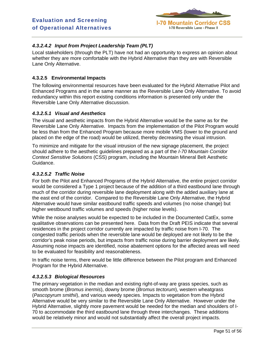

# *4.3.2.4.2 Input from Project Leadership Team (PLT)*

Local stakeholders (through the PLT) have not had an opportunity to express an opinion about whether they are more comfortable with the Hybrid Alternative than they are with Reversible Lane Only Alternative.

# **4.3.2.5 Environmental Impacts**

The following environmental resources have been evaluated for the Hybrid Alternative Pilot and Enhanced Programs and in the same manner as the Reversible Lane Only Alternative. To avoid redundancy within this report existing conditions information is presented only under the Reversible Lane Only Alternative discussion.

### *4.3.2.5.1 Visual and Aesthetics*

The visual and aesthetic impacts from the Hybrid Alternative would be the same as for the Reversible Lane Only Alternative. Impacts from the implementation of the Pilot Program would be less than from the Enhanced Program because more mobile VMS (lower to the ground and placed on the edge of the road) would be utilized, thereby decreasing the visual intrusion.

To minimize and mitigate for the visual intrusion of the new signage placement, the project should adhere to the aesthetic guidelines prepared as a part of the *I-70 Mountain Corridor Context Sensitive Solutions* (CSS) program, including the Mountain Mineral Belt Aesthetic Guidance.

#### *4.3.2.5.2 Traffic Noise*

For both the Pilot and Enhanced Programs of the Hybrid Alternative, the entire project corridor would be considered a Type 1 project because of the addition of a third eastbound lane through much of the corridor during reversible lane deployment along with the added auxiliary lane at the east end of the corridor. Compared to the Reversible Lane Only Alternative, the Hybrid Alternative would have similar eastbound traffic speeds and volumes (no noise change) but higher westbound traffic volumes and speeds (higher noise levels).

While the noise analyses would be expected to be included in the Documented CatEx, some qualitative observations can be presented here. Data from the Draft PEIS indicate that several residences in the project corridor currently are impacted by traffic noise from I-70. The congested traffic periods when the reversible lane would be deployed are not likely to be the corridor's peak noise periods, but impacts from traffic noise during barrier deployment are likely. Assuming noise impacts are identified, noise abatement options for the affected areas will need to be evaluated for feasibility and reasonableness.

In traffic noise terms, there would be little difference between the Pilot program and Enhanced Program for the Hybrid Alternative.

### *4.3.2.5.3 Biological Resources*

The primary vegetation in the median and existing right-of-way are grass species, such as smooth brome (*Bromus inermis*), downy brome (*Bromus tectorum*), western wheatgrass (*Pascopyrum smithii*), and various weedy species. Impacts to vegetation from the Hybrid Alternative would be very similar to the Reversible Lane Only Alternative. However under the Hybrid Alternative, slightly more pavement would be needed for the median and shoulders of I-70 to accommodate the third eastbound lane through three interchanges. These additions would be relatively minor and would not substantially affect the overall project impacts.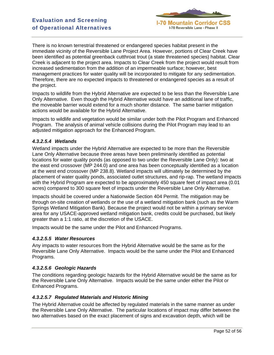

There is no known terrestrial threatened or endangered species habitat present in the immediate vicinity of the Reversible Lane Project Area. However, portions of Clear Creek have been identified as potential greenback cutthroat trout (a state threatened species) habitat. Clear Creek is adjacent to the project area. Impacts to Clear Creek from the project would result from increased sedimentation from the addition of an impermeable surface; however, best management practices for water quality will be incorporated to mitigate for any sedimentation. Therefore, there are no expected impacts to threatened or endangered species as a result of the project.

Impacts to wildlife from the Hybrid Alternative are expected to be less than the Reversible Lane Only Alternative. Even though the Hybrid Alternative would have an additional lane of traffic, the moveable barrier would extend for a much shorter distance. The same barrier mitigation actions would be available for the Hybrid Alternative.

Impacts to wildlife and vegetation would be similar under both the Pilot Program and Enhanced Program. The analysis of animal vehicle collisions during the Pilot Program may lead to an adjusted mitigation approach for the Enhanced Program.

### *4.3.2.5.4 Wetlands*

Wetland impacts under the Hybrid Alternative are expected to be more than the Reversible Lane Only Alternative because three areas have been preliminarily identified as potential locations for water quality ponds (as opposed to two under the Reversible Lane Only): two at the east end crossover (MP 244.0) and one area has been conceptually identified as a location at the west end crossover (MP 238.8). Wetland impacts will ultimately be determined by the placement of water quality ponds, associated outlet structures, and rip-rap. The wetland impacts with the Hybrid Program are expected to be approximately 450 square feet of impact area (0.01 acres) compared to 300 square feet of impacts under the Reversible Lane Only Alternative.

Impacts should be covered under a Nationwide Section 404 Permit. The mitigation may be through on-site creation of wetlands or the use of a wetland mitigation bank (such as the Warm Springs Wetland Mitigation Bank). Because the project would not be within a primary service area for any USACE-approved wetland mitigation bank, credits could be purchased, but likely greater than a 1:1 ratio, at the discretion of the USACE.

Impacts would be the same under the Pilot and Enhanced Programs.

#### *4.3.2.5.5 Water Resources*

Any impacts to water resources from the Hybrid Alternative would be the same as for the Reversible Lane Only Alternative. Impacts would be the same under the Pilot and Enhanced Programs.

#### *4.3.2.5.6 Geologic Hazards*

The conditions regarding geologic hazards for the Hybrid Alternative would be the same as for the Reversible Lane Only Alternative. Impacts would be the same under either the Pilot or Enhanced Programs.

### *4.3.2.5.7 Regulated Materials and Historic Mining*

The Hybrid Alternative could be affected by regulated materials in the same manner as under the Reversible Lane Only Alternative. The particular locations of impact may differ between the two alternatives based on the exact placement of signs and excavation depth, which will be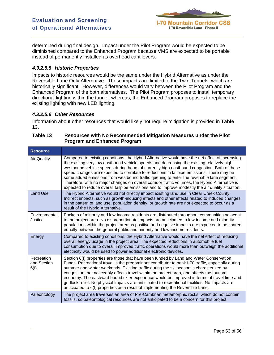

determined during final design. Impact under the Pilot Program would be expected to be diminished compared to the Enhanced Program because VMS are expected to be portable instead of permanently installed as overhead cantilevers.

#### *4.3.2.5.8 Historic Properties*

Impacts to historic resources would be the same under the Hybrid Alternative as under the Reversible Lane Only Alternative. These impacts are limited to the Twin Tunnels, which are historically significant. However, differences would vary between the Pilot Program and the Enhanced Program of the both alternatives. The Pilot Program proposes to install temporary directional lighting within the tunnel, whereas, the Enhanced Program proposes to replace the existing lighting with new LED lighting.

#### *4.3.2.5.9 Other Resources*

Information about other resources that would likely not require mitigation is provided in **Table 13**.

| Table 13 | Resources with No Recommended Mitigation Measures under the Pilot |
|----------|-------------------------------------------------------------------|
|          | <b>Program and Enhanced Program</b>                               |

| <b>Resource</b>                   |                                                                                                                                                                                                                                                                                                                                                                                                                                                                                                                                                                                                                                                                                               |
|-----------------------------------|-----------------------------------------------------------------------------------------------------------------------------------------------------------------------------------------------------------------------------------------------------------------------------------------------------------------------------------------------------------------------------------------------------------------------------------------------------------------------------------------------------------------------------------------------------------------------------------------------------------------------------------------------------------------------------------------------|
| <b>Air Quality</b>                | Compared to existing conditions, the Hybrid Alternative would have the net effect of increasing<br>the existing very low eastbound vehicle speeds and decreasing the existing relatively high<br>westbound vehicle speeds during hours of currently high eastbound congestion. Both of these<br>speed changes are expected to correlate to reductions in tailpipe emissions. There may be<br>some added emissions from westbound traffic queuing to enter the reversible lane segment.<br>Therefore, with no major changes on overall corridor traffic volumes, the Hybrid Alternative is<br>expected to reduce overall tailpipe emissions and to improve modestly the air quality situation. |
| <b>Land Use</b>                   | The Hybrid Alternative would not directly impact existing land use in Clear Creek County.<br>Indirect impacts, such as growth-inducing effects and other effects related to induced changes<br>in the pattern of land use, population density, or growth rate are not expected to occur as a<br>result of the Hybrid Alternative.                                                                                                                                                                                                                                                                                                                                                             |
| Environmental<br>Justice          | Pockets of minority and low-income residents are distributed throughout communities adjacent<br>to the project area. No disproportionate impacts are anticipated to low-income and minority<br>populations within the project area as positive and negative impacts are expected to be shared<br>equally between the general public and minority and low-income residents.                                                                                                                                                                                                                                                                                                                    |
| Energy                            | Compared to existing conditions, the Hybrid Alternative would have the net effect of reducing<br>overall energy usage in the project area. The expected reductions in automobile fuel<br>consumption due to overall improved traffic operations would more than outweigh the additional<br>electricity would be used to power additional electronic devices.                                                                                                                                                                                                                                                                                                                                  |
| Recreation<br>and Section<br>6(f) | Section 6(f) properties are those that have been funded by Land and Water Conservation<br>Funds. Recreational travel is the predominant contributor to peak I-70 traffic, especially during<br>summer and winter weekends. Existing traffic during the ski season is characterized by<br>congestion that noticeably affects travel within the project area, and affects the tourism<br>economy. The eastward bound skier experience would be improved in terms of travel time and<br>gridlock relief. No physical impacts are anticipated to recreational facilities. No impacts are<br>anticipated to 6(f) properties as a result of implementing the Reversible Lane.                       |
| Paleontology                      | The project area traverses an area of Pre-Cambrian metamorphic rocks, which do not contain<br>fossils, so paleontological resources are not anticipated to be a concern for this project.                                                                                                                                                                                                                                                                                                                                                                                                                                                                                                     |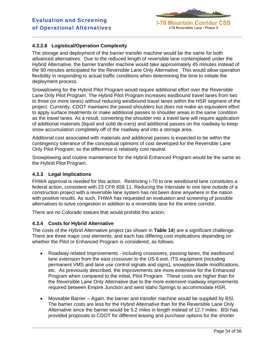# **I-70 Mountain Corridor CSS** I-70 Reversible Lane - Phase II

# **4.3.2.6 Logistical/Operation Complexity**

The storage and deployment of the barrier transfer machine would be the same for both advanced alternatives. Due to the reduced length of reversible lane contemplated under the Hybrid Alternative, the barrier transfer machine would take approximately 45 minutes instead of the 90 minutes anticipated for the Reversible Lane Only Alternative. This would allow operation flexibility in responding to actual traffic conditions when determining the time to initiate the deployment process.

Snowplowing for the Hybrid Pilot Program would require additional effort over the Reversible Lane Only Pilot Program. The Hybrid Pilot Program increases eastbound travel lanes from two to three (or more lanes) without reducing westbound travel lanes within the HSR segment of the project. Currently, CDOT maintains the paved shoulders but does not make an equivalent effort to apply surface treatments or make additional passes to shoulder areas in the same condition as the travel lanes. As a result, converting the shoulder into a travel lane will require application of additional materials (liquid and solid de-icers) and additional passes on the roadway to keep snow accumulation completely off of the roadway and into a storage area.

Additional cost associated with materials and additional passes is expected to be within the contingency tolerance of the conceptual opinions of cost developed for the Reversible Lane Only Pilot Program; so the difference is relatively cost neutral.

Snowplowing and routine maintenance for the Hybrid Enhanced Program would be the same as the Hybrid Pilot Program.

### **4.3.3 Legal Implications**

FHWA approval is needed for this action. Restricting I-70 to one westbound lane constitutes a federal action, consistent with 23 CFR 658.11. Reducing the Interstate to one lane outside of a construction project with a reversible lane system has not been done anywhere in the nation with positive results. As such, FHWA has requested an evaluation and screening of possible alternatives to solve congestion in addition to a reversible lane for the entire corridor.

There are no Colorado statues that would prohibit this action.

### **4.3.4 Costs for Hybrid Alternative**

The costs of the Hybrid Alternative project (as shown in **Table 14**) are a significant challenge. There are three major cost elements, and each has differing cost implications depending on whether the Pilot or Enhanced Program is considered, as follows:

- Roadway-related Improvements including crossovers, passing lanes, the eastbound lane extension from the east crossover to the US 6 exit, ITS equipment (including permanent VMS and lane use control signals and signs), snowplow blade modifications, etc. As previously described, the improvements are more extensive for the Enhanced Program when compared to the initial, Pilot Program. These costs are higher than for the Reversible Lane Only Alternative due to the more extensive roadway improvements required between Empire Junction and west Idaho Springs to accommodate HSR.
- Moveable Barrier Again, the barrier and transfer machine would be supplied by BSI. The barrier costs are less for the Hybrid Alternative than for the Reversible Lane Only Alternative since the barrier would be 5.2 miles in length instead of 12.7 miles. BSI has provided proposals to CDOT for different leasing and purchase options for the shorter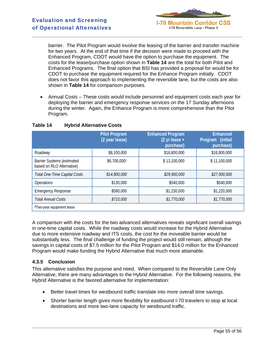

barrier. The Pilot Program would involve the leasing of the barrier and transfer machine for two years. At the end of that time if the decision were made to proceed with the Enhanced Program, CDOT would have the option to purchase the equipment. The costs for the lease/purchase option shown in **Table 14** are the total for both Pilot and Enhanced Programs. The final option that BSI has provided a proposal for would be for CDOT to purchase the equipment required for the Enhance Program initially. CDOT does not favor this approach to implementing the reversible lane, but the costs are also shown in **Table 14** for comparison purposes.

• Annual Costs – These costs would include personnel and equipment costs each year for deploying the barrier and emergency response services on the 17 Sunday afternoons during the winter. Again, the Enhance Program is more comprehensive than the Pilot Program.

|                                                                | <b>Pilot Program</b><br>(2 year lease) | <b>Enhanced Program</b><br>$(2 \text{ yr} \text{ lease} +$<br>purchase) | <b>Enhanced</b><br>Program (initial<br>purchase) |
|----------------------------------------------------------------|----------------------------------------|-------------------------------------------------------------------------|--------------------------------------------------|
| Roadway                                                        | \$8,100,000                            | \$16,800,000                                                            | \$16,800,000                                     |
| <b>Barrier Systems (estimated</b><br>based on RLO Alternative) | \$6,700,0001                           | \$13,100,000                                                            | \$11,100,000                                     |
| Total One-Time Capital Costs                                   | \$14,800,000                           | \$29,900,000                                                            | \$27,900,000                                     |
| <b>Operations</b>                                              | \$130,000                              | \$540,000                                                               | \$540,000                                        |
| <b>Emergency Response</b>                                      | \$580,000                              | \$1,230,000                                                             | \$1,220,000                                      |
| <b>Total Annual Costs</b>                                      | \$710,000                              | \$1,770,000                                                             | \$1,770,000                                      |
| <sup>1</sup> Two-year equipment lease                          |                                        |                                                                         |                                                  |

### **Table 14 Hybrid Alternative Costs**

A comparison with the costs for the two advanced alternatives reveals significant overall savings in one-time capital costs. While the roadway costs would increase for the Hybrid Alternative due to more extensive roadway and ITS costs, the cost for the moveable barrier would be substantially less. The final challenge of funding the project would still remain, although the savings in capital costs of \$7.5 million for the Pilot Program and \$14.0 million for the Enhanced Program would make funding the Hybrid Alternative that much more attainable.

# **4.3.5 Conclusion**

This alternative satisfies the purpose and need. When compared to the Reversible Lane Only Alternative, there are many advantages to the Hybrid Alternative. For the following reasons, the Hybrid Alternative is the favored alternative for implementation:

- Better travel times for westbound traffic translate into more overall time savings.
- Shorter barrier length gives more flexibility for eastbound I-70 travelers to stop at local destinations and more two-lane capacity for westbound traffic.